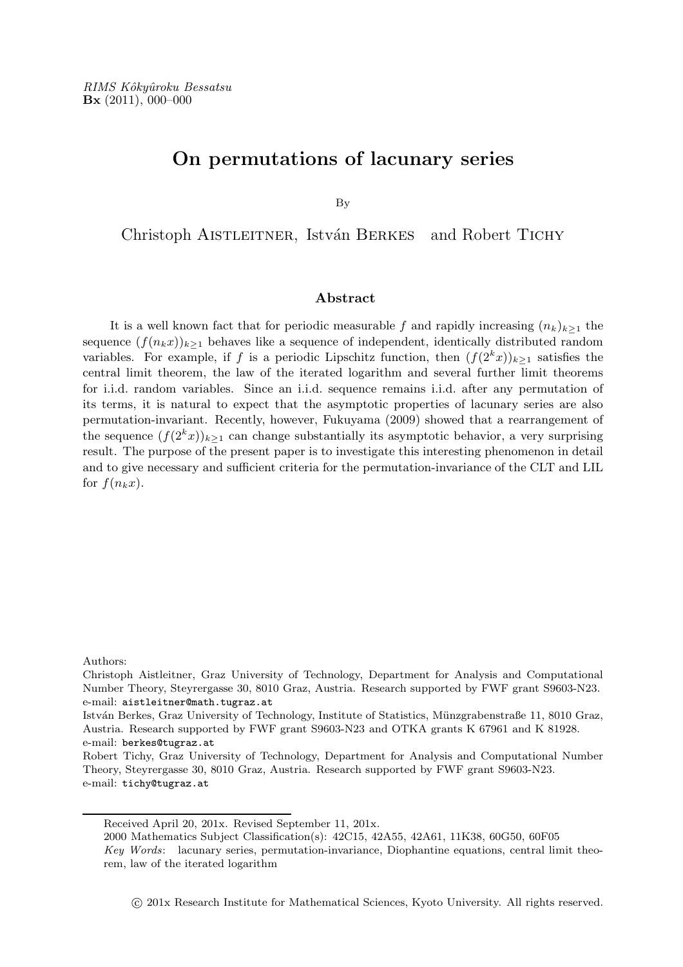# On permutations of lacunary series

By

Christoph AISTLEITNER, István BERKES and Robert TICHY

## Abstract

It is a well known fact that for periodic measurable f and rapidly increasing  $(n_k)_{k\geq 1}$  the sequence  $(f(n_kx))_{k\geq 1}$  behaves like a sequence of independent, identically distributed random variables. For example, if f is a periodic Lipschitz function, then  $(f(2<sup>k</sup>x))_{k>1}$  satisfies the central limit theorem, the law of the iterated logarithm and several further limit theorems for i.i.d. random variables. Since an i.i.d. sequence remains i.i.d. after any permutation of its terms, it is natural to expect that the asymptotic properties of lacunary series are also permutation-invariant. Recently, however, Fukuyama (2009) showed that a rearrangement of the sequence  $(f(2<sup>k</sup>x))_{k\geq 1}$  can change substantially its asymptotic behavior, a very surprising result. The purpose of the present paper is to investigate this interesting phenomenon in detail and to give necessary and sufficient criteria for the permutation-invariance of the CLT and LIL for  $f(n_kx)$ .

Authors:

Christoph Aistleitner, Graz University of Technology, Department for Analysis and Computational Number Theory, Steyrergasse 30, 8010 Graz, Austria. Research supported by FWF grant S9603-N23. e-mail: aistleitner@math.tugraz.at

István Berkes, Graz University of Technology, Institute of Statistics, Münzgrabenstraße 11, 8010 Graz, Austria. Research supported by FWF grant S9603-N23 and OTKA grants K 67961 and K 81928. e-mail: berkes@tugraz.at

Robert Tichy, Graz University of Technology, Department for Analysis and Computational Number Theory, Steyrergasse 30, 8010 Graz, Austria. Research supported by FWF grant S9603-N23. e-mail: tichy@tugraz.at

c 201x Research Institute for Mathematical Sciences, Kyoto University. All rights reserved.

Received April 20, 201x. Revised September 11, 201x.

<sup>2000</sup> Mathematics Subject Classification(s): 42C15, 42A55, 42A61, 11K38, 60G50, 60F05

Key Words: lacunary series, permutation-invariance, Diophantine equations, central limit theorem, law of the iterated logarithm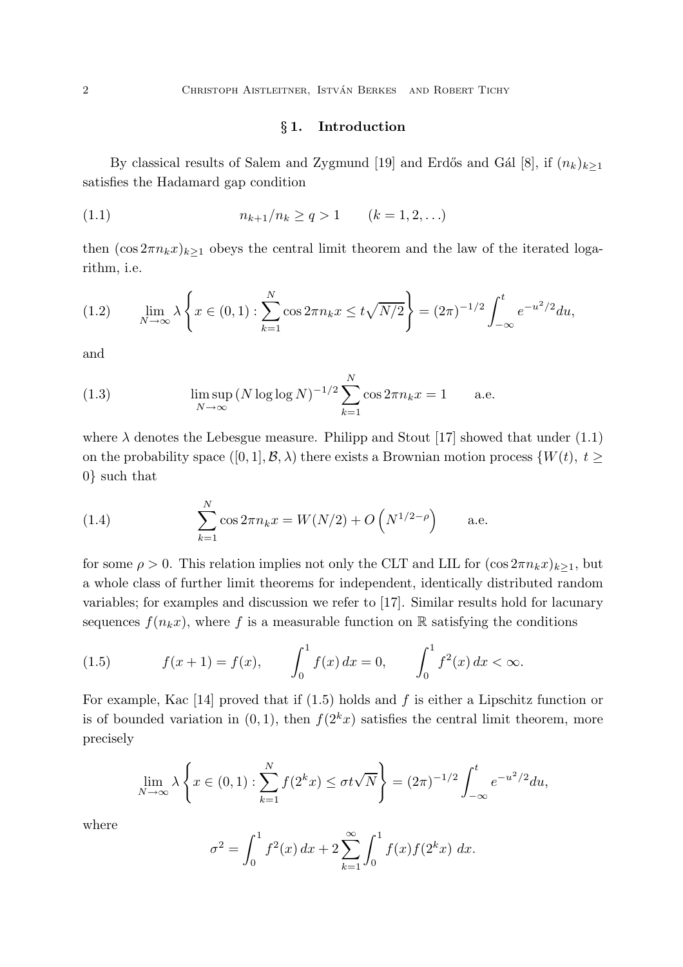## § 1. Introduction

By classical results of Salem and Zygmund [19] and Erdős and Gál [8], if  $(n_k)_{k\geq 1}$ satisfies the Hadamard gap condition

(1.1) 
$$
n_{k+1}/n_k \ge q > 1 \qquad (k = 1, 2, ...)
$$

then  $(\cos 2\pi n_k x)_{k>1}$  obeys the central limit theorem and the law of the iterated logarithm, i.e.

$$
(1.2) \qquad \lim_{N \to \infty} \lambda \left\{ x \in (0,1) : \sum_{k=1}^{N} \cos 2\pi n_k x \le t \sqrt{N/2} \right\} = (2\pi)^{-1/2} \int_{-\infty}^{t} e^{-u^2/2} du,
$$

and

(1.3) 
$$
\limsup_{N \to \infty} (N \log \log N)^{-1/2} \sum_{k=1}^{N} \cos 2\pi n_k x = 1
$$
 a.e.

where  $\lambda$  denotes the Lebesgue measure. Philipp and Stout [17] showed that under (1.1) on the probability space  $([0, 1], \mathcal{B}, \lambda)$  there exists a Brownian motion process  $\{W(t), t \geq \lambda\}$ 0} such that

(1.4) 
$$
\sum_{k=1}^{N} \cos 2\pi n_k x = W(N/2) + O\left(N^{1/2-\rho}\right) \quad \text{a.e.}
$$

for some  $\rho > 0$ . This relation implies not only the CLT and LIL for  $(\cos 2\pi n_k x)_{k>1}$ , but a whole class of further limit theorems for independent, identically distributed random variables; for examples and discussion we refer to [17]. Similar results hold for lacunary sequences  $f(n_kx)$ , where f is a measurable function on R satisfying the conditions

(1.5) 
$$
f(x+1) = f(x), \qquad \int_0^1 f(x) dx = 0, \qquad \int_0^1 f^2(x) dx < \infty.
$$

For example, Kac [14] proved that if  $(1.5)$  holds and f is either a Lipschitz function or is of bounded variation in  $(0, 1)$ , then  $f(2<sup>k</sup>x)$  satisfies the central limit theorem, more precisely

$$
\lim_{N \to \infty} \lambda \left\{ x \in (0,1) : \sum_{k=1}^{N} f(2^k x) \le \sigma t \sqrt{N} \right\} = (2\pi)^{-1/2} \int_{-\infty}^{t} e^{-u^2/2} du,
$$

where

$$
\sigma^2 = \int_0^1 f^2(x) \, dx + 2 \sum_{k=1}^\infty \int_0^1 f(x) f(2^k x) \, dx.
$$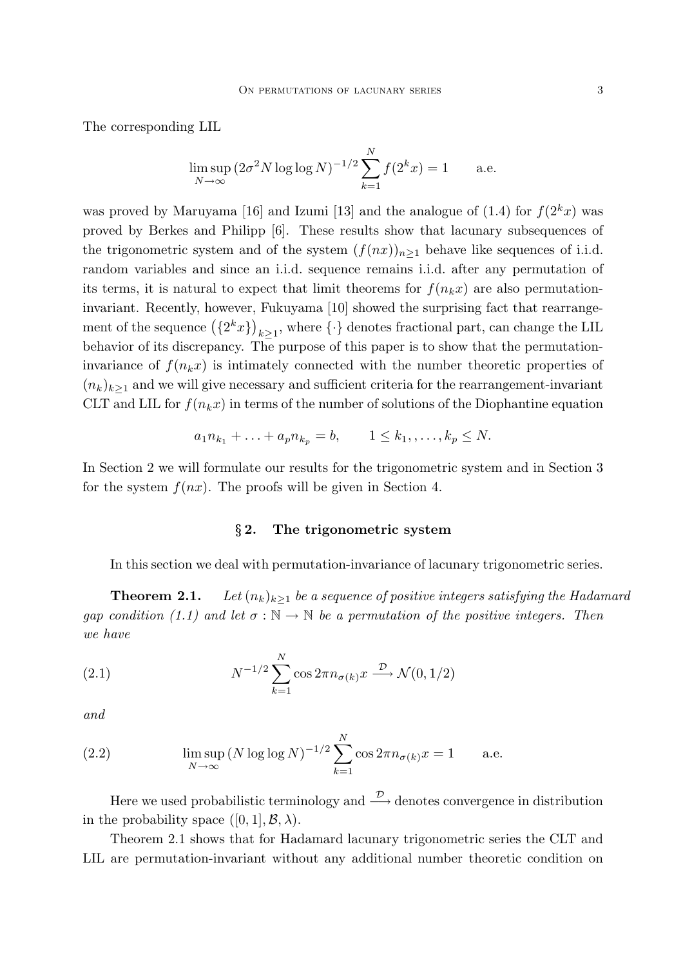The corresponding LIL

$$
\limsup_{N \to \infty} (2\sigma^2 N \log \log N)^{-1/2} \sum_{k=1}^{N} f(2^k x) = 1
$$
 a.e.

was proved by Maruyama [16] and Izumi [13] and the analogue of  $(1.4)$  for  $f(2<sup>k</sup>x)$  was proved by Berkes and Philipp [6]. These results show that lacunary subsequences of the trigonometric system and of the system  $(f(nx))_{n>1}$  behave like sequences of i.i.d. random variables and since an i.i.d. sequence remains i.i.d. after any permutation of its terms, it is natural to expect that limit theorems for  $f(n_kx)$  are also permutationinvariant. Recently, however, Fukuyama [10] showed the surprising fact that rearrangement of the sequence  $(\{2^k x\})_{k\geq 1}$ , where  $\{\cdot\}$  denotes fractional part, can change the LIL behavior of its discrepancy. The purpose of this paper is to show that the permutationinvariance of  $f(n_kx)$  is intimately connected with the number theoretic properties of  $(n_k)_{k\geq 1}$  and we will give necessary and sufficient criteria for the rearrangement-invariant CLT and LIL for  $f(n_kx)$  in terms of the number of solutions of the Diophantine equation

$$
a_1 n_{k_1} + \ldots + a_p n_{k_p} = b, \qquad 1 \leq k_1, \ldots, k_p \leq N.
$$

In Section 2 we will formulate our results for the trigonometric system and in Section 3 for the system  $f(nx)$ . The proofs will be given in Section 4.

#### § 2. The trigonometric system

In this section we deal with permutation-invariance of lacunary trigonometric series.

**Theorem 2.1.** *Let*  $(n_k)_{k\geq 1}$  *be a sequence of positive integers satisfying the Hadamard gap condition (1.1) and let*  $\sigma : \mathbb{N} \to \mathbb{N}$  *be a permutation of the positive integers. Then we have*

(2.1) 
$$
N^{-1/2} \sum_{k=1}^{N} \cos 2\pi n_{\sigma(k)} x \stackrel{\mathcal{D}}{\longrightarrow} \mathcal{N}(0, 1/2)
$$

*and*

(2.2) 
$$
\limsup_{N \to \infty} (N \log \log N)^{-1/2} \sum_{k=1}^{N} \cos 2\pi n_{\sigma(k)} x = 1
$$
 a.e.

Here we used probabilistic terminology and  $\stackrel{\mathcal{D}}{\longrightarrow}$  denotes convergence in distribution in the probability space  $([0, 1], \mathcal{B}, \lambda)$ .

Theorem 2.1 shows that for Hadamard lacunary trigonometric series the CLT and LIL are permutation-invariant without any additional number theoretic condition on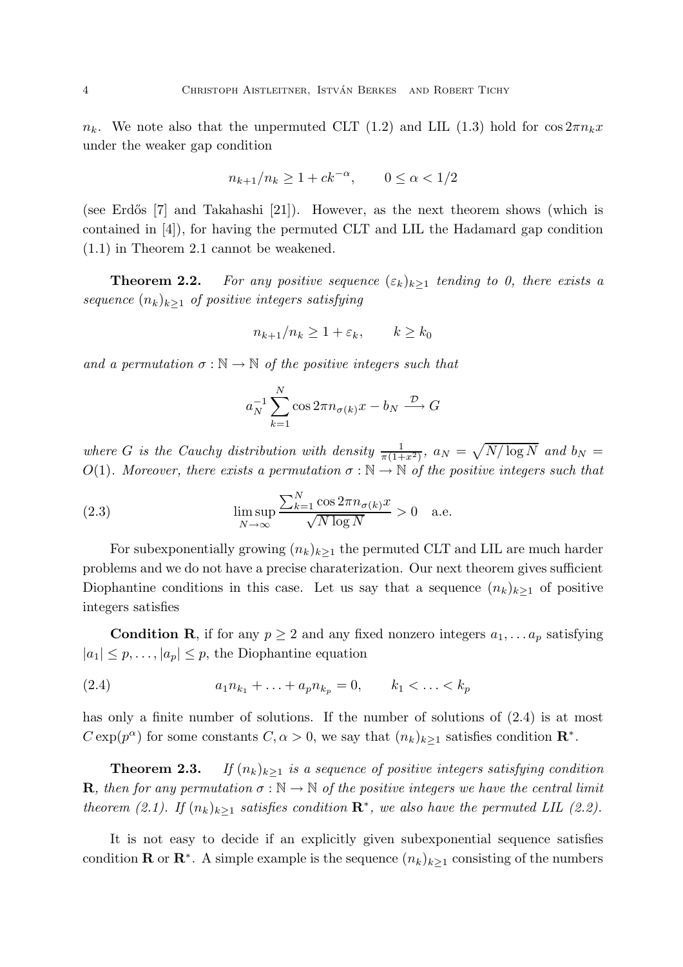$n_k$ . We note also that the unpermuted CLT (1.2) and LIL (1.3) hold for  $\cos 2\pi n_k x$ under the weaker gap condition

$$
n_{k+1}/n_k \ge 1 + ck^{-\alpha}, \qquad 0 \le \alpha < 1/2
$$

(see Erdős  $[7]$  and Takahashi  $[21]$ ). However, as the next theorem shows (which is contained in [4]), for having the permuted CLT and LIL the Hadamard gap condition (1.1) in Theorem 2.1 cannot be weakened.

**Theorem 2.2.** *For any positive sequence*  $(\varepsilon_k)_{k>1}$  *tending to 0, there exists a sequence*  $(n_k)_{k>1}$  *of positive integers satisfying* 

$$
n_{k+1}/n_k \ge 1 + \varepsilon_k, \qquad k \ge k_0
$$

*and a permutation*  $\sigma : \mathbb{N} \to \mathbb{N}$  *of the positive integers such that* 

$$
a_N^{-1} \sum_{k=1}^N \cos 2\pi n_{\sigma(k)} x - b_N \xrightarrow{\mathcal{D}} G
$$

where *G* is the Cauchy distribution with density  $\frac{1}{\pi(1+x^2)}$ ,  $a_N = \sqrt{N/\log N}$  and  $b_N =$ O(1)*.* Moreover, there exists a permutation  $\sigma : \mathbb{N} \to \mathbb{N}$  of the positive integers such that

(2.3) 
$$
\limsup_{N \to \infty} \frac{\sum_{k=1}^{N} \cos 2\pi n_{\sigma(k)} x}{\sqrt{N \log N}} > 0 \quad \text{a.e.}
$$

For subexponentially growing  $(n_k)_{k>1}$  the permuted CLT and LIL are much harder problems and we do not have a precise charaterization. Our next theorem gives sufficient Diophantine conditions in this case. Let us say that a sequence  $(n_k)_{k>1}$  of positive integers satisfies

**Condition R**, if for any  $p \geq 2$  and any fixed nonzero integers  $a_1, \ldots, a_p$  satisfying  $|a_1| \leq p, \ldots, |a_p| \leq p$ , the Diophantine equation

(2.4) 
$$
a_1 n_{k_1} + \ldots + a_p n_{k_p} = 0, \qquad k_1 < \ldots < k_p
$$

has only a finite number of solutions. If the number of solutions of  $(2.4)$  is at most  $C \exp(p^{\alpha})$  for some constants  $C, \alpha > 0$ , we say that  $(n_k)_{k \geq 1}$  satisfies condition  $\mathbb{R}^*$ .

**Theorem 2.3.** *If*  $(n_k)_{k>1}$  *is a sequence of positive integers satisfying condition* **R**, then for any permutation  $\sigma : \mathbb{N} \to \mathbb{N}$  of the positive integers we have the central limit *theorem (2.1).* If  $(n_k)_{k\geq 1}$  satisfies condition  $\mathbb{R}^*$ , we also have the permuted LIL (2.2).

It is not easy to decide if an explicitly given subexponential sequence satisfies condition **R** or **R**<sup>\*</sup>. A simple example is the sequence  $(n_k)_{k\geq 1}$  consisting of the numbers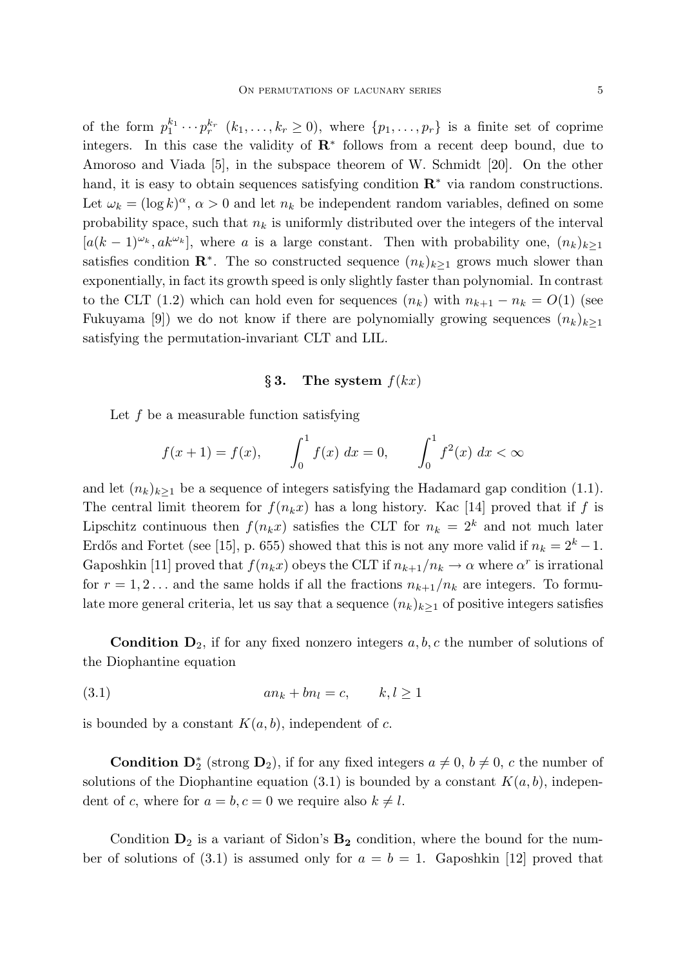of the form  $p_1^{k_1} \cdots p_r^{k_r}$   $(k_1, \ldots, k_r \ge 0)$ , where  $\{p_1, \ldots, p_r\}$  is a finite set of coprime integers. In this case the validity of  $\mathbb{R}^*$  follows from a recent deep bound, due to Amoroso and Viada [5], in the subspace theorem of W. Schmidt [20]. On the other hand, it is easy to obtain sequences satisfying condition  $\mathbb{R}^*$  via random constructions. Let  $\omega_k = (\log k)^{\alpha}, \alpha > 0$  and let  $n_k$  be independent random variables, defined on some probability space, such that  $n_k$  is uniformly distributed over the integers of the interval  $[a(k-1)^{\omega_k}, a k^{\omega_k}]$ , where a is a large constant. Then with probability one,  $(n_k)_{k>1}$ satisfies condition  $\mathbb{R}^*$ . The so constructed sequence  $(n_k)_{k\geq 1}$  grows much slower than exponentially, in fact its growth speed is only slightly faster than polynomial. In contrast to the CLT (1.2) which can hold even for sequences  $(n_k)$  with  $n_{k+1} - n_k = O(1)$  (see Fukuyama [9]) we do not know if there are polynomially growing sequences  $(n_k)_{k\geq 1}$ satisfying the permutation-invariant CLT and LIL.

### § 3. The system  $f(kx)$

Let  $f$  be a measurable function satisfying

$$
f(x+1) = f(x), \qquad \int_0^1 f(x) \, dx = 0, \qquad \int_0^1 f^2(x) \, dx < \infty
$$

and let  $(n_k)_{k\geq 1}$  be a sequence of integers satisfying the Hadamard gap condition (1.1). The central limit theorem for  $f(n_kx)$  has a long history. Kac [14] proved that if f is Lipschitz continuous then  $f(n_kx)$  satisfies the CLT for  $n_k = 2^k$  and not much later Erdős and Fortet (see [15], p. 655) showed that this is not any more valid if  $n_k = 2^k - 1$ . Gaposhkin [11] proved that  $f(n_k x)$  obeys the CLT if  $n_{k+1}/n_k \to \alpha$  where  $\alpha^r$  is irrational for  $r = 1, 2...$  and the same holds if all the fractions  $n_{k+1}/n_k$  are integers. To formulate more general criteria, let us say that a sequence  $(n_k)_{k>1}$  of positive integers satisfies

**Condition D**<sub>2</sub>, if for any fixed nonzero integers  $a, b, c$  the number of solutions of the Diophantine equation

$$
(3.1) \t\t\t\t\tan_k + bn_l = c, \t\t k, l \ge 1
$$

is bounded by a constant  $K(a, b)$ , independent of c.

**Condition**  $\mathbf{D}_2^*$  (strong  $\mathbf{D}_2$ ), if for any fixed integers  $a \neq 0$ ,  $b \neq 0$ , c the number of solutions of the Diophantine equation (3.1) is bounded by a constant  $K(a, b)$ , independent of c, where for  $a = b, c = 0$  we require also  $k \neq l$ .

Condition  $D_2$  is a variant of Sidon's  $B_2$  condition, where the bound for the number of solutions of (3.1) is assumed only for  $a = b = 1$ . Gaposhkin [12] proved that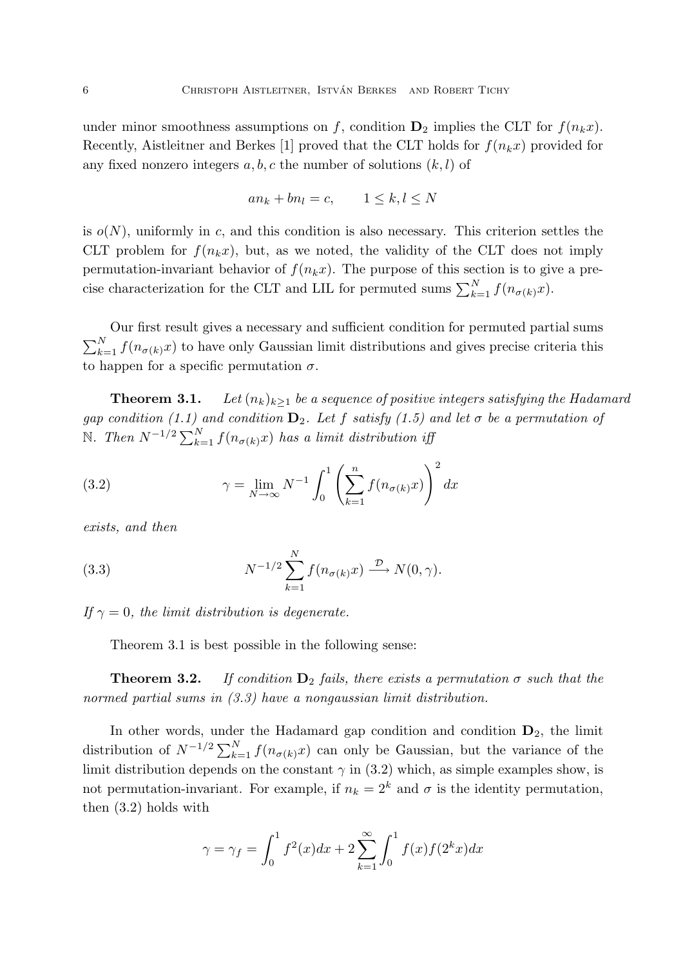under minor smoothness assumptions on f, condition  $D_2$  implies the CLT for  $f(n_kx)$ . Recently, Aistleitner and Berkes [1] proved that the CLT holds for  $f(n_kx)$  provided for any fixed nonzero integers  $a, b, c$  the number of solutions  $(k, l)$  of

$$
an_k + bn_l = c, \qquad 1 \le k, l \le N
$$

is  $o(N)$ , uniformly in c, and this condition is also necessary. This criterion settles the CLT problem for  $f(n_kx)$ , but, as we noted, the validity of the CLT does not imply permutation-invariant behavior of  $f(n_kx)$ . The purpose of this section is to give a precise characterization for the CLT and LIL for permuted sums  $\sum_{k=1}^{N} f(n_{\sigma(k)}x)$ .

Our first result gives a necessary and sufficient condition for permuted partial sums  $\sum_{k=1}^{N} f(n_{\sigma(k)}x)$  to have only Gaussian limit distributions and gives precise criteria this to happen for a specific permutation  $\sigma$ .

**Theorem 3.1.** *Let*  $(n_k)_{k>1}$  *be a sequence of positive integers satisfying the Hadamard gap condition (1.1) and condition*  $D_2$ *. Let* f *satisfy (1.5) and let*  $\sigma$  *be a permutation of*  $\mathbb{N}.$  Then  $N^{-1/2} \sum_{k=1}^{N} f(n_{\sigma(k)}x)$  has a limit distribution iff

(3.2) 
$$
\gamma = \lim_{N \to \infty} N^{-1} \int_0^1 \left( \sum_{k=1}^n f(n_{\sigma(k)} x) \right)^2 dx
$$

*exists, and then*

(3.3) 
$$
N^{-1/2} \sum_{k=1}^{N} f(n_{\sigma(k)} x) \xrightarrow{\mathcal{D}} N(0, \gamma).
$$

*If*  $\gamma = 0$ *, the limit distribution is degenerate.* 

Theorem 3.1 is best possible in the following sense:

**Theorem 3.2.** *If condition*  $D_2$  *fails, there exists a permutation*  $\sigma$  *such that the normed partial sums in (3.3) have a nongaussian limit distribution.*

In other words, under the Hadamard gap condition and condition  $D_2$ , the limit distribution of  $N^{-1/2} \sum_{k=1}^{N} f(n_{\sigma(k)}x)$  can only be Gaussian, but the variance of the limit distribution depends on the constant  $\gamma$  in (3.2) which, as simple examples show, is not permutation-invariant. For example, if  $n_k = 2^k$  and  $\sigma$  is the identity permutation, then (3.2) holds with

$$
\gamma = \gamma_f = \int_0^1 f^2(x)dx + 2\sum_{k=1}^\infty \int_0^1 f(x)f(2^k x)dx
$$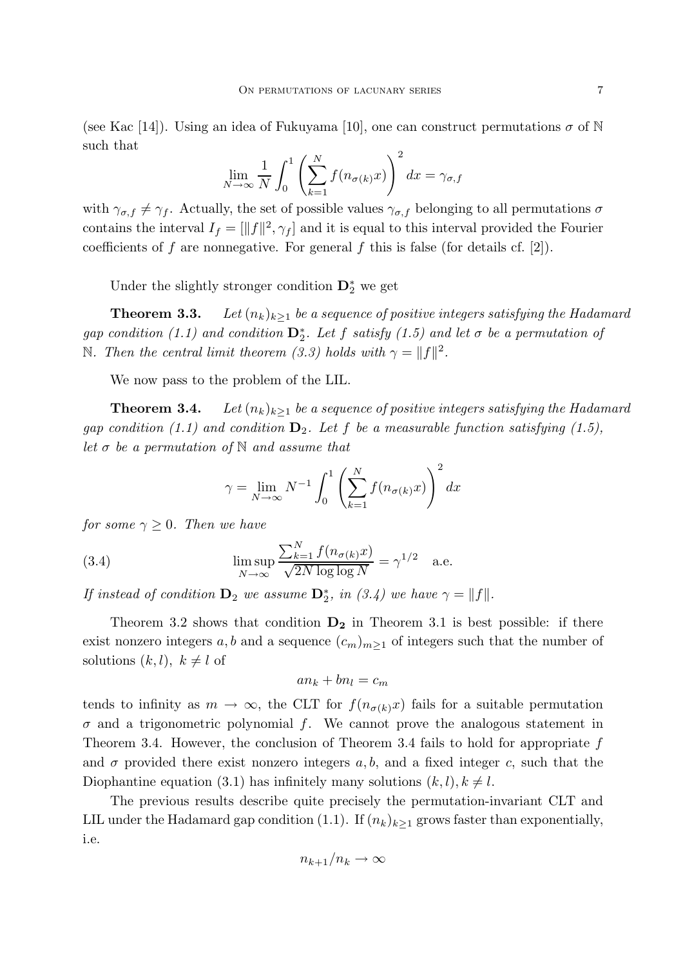(see Kac [14]). Using an idea of Fukuyama [10], one can construct permutations  $\sigma$  of N such that

$$
\lim_{N \to \infty} \frac{1}{N} \int_0^1 \left( \sum_{k=1}^N f(n_{\sigma(k)} x) \right)^2 dx = \gamma_{\sigma, f}
$$

with  $\gamma_{\sigma,f} \neq \gamma_f$ . Actually, the set of possible values  $\gamma_{\sigma,f}$  belonging to all permutations  $\sigma$ contains the interval  $I_f = [\|f\|^2, \gamma_f]$  and it is equal to this interval provided the Fourier coefficients of f are nonnegative. For general f this is false (for details cf.  $[2]$ ).

Under the slightly stronger condition  $\mathbf{D}_2^*$  we get

**Theorem 3.3.** *Let*  $(n_k)_{k>1}$  *be a sequence of positive integers satisfying the Hadamard*  $gap\ condition\ (1.1)\ and\ condition\ \mathbf{D}_2^*$ . Let f satisfy  $(1.5)\ and\ let\ \sigma\ be\ a\ permutation\ of$ N. Then the central limit theorem (3.3) holds with  $\gamma = ||f||^2$ .

We now pass to the problem of the LIL.

**Theorem 3.4.** *Let*  $(n_k)_{k>1}$  *be a sequence of positive integers satisfying the Hadamard gap condition (1.1) and condition*  $D_2$ *. Let* f *be a measurable function satisfying (1.5)*, *let* σ *be a permutation of* N *and assume that*

$$
\gamma = \lim_{N \to \infty} N^{-1} \int_0^1 \left( \sum_{k=1}^N f(n_{\sigma(k)} x) \right)^2 dx
$$

*for some*  $\gamma \geq 0$ *. Then we have* 

(3.4) 
$$
\limsup_{N \to \infty} \frac{\sum_{k=1}^{N} f(n_{\sigma(k)}x)}{\sqrt{2N \log \log N}} = \gamma^{1/2} \quad \text{a.e.}
$$

*If instead of condition*  $\mathbf{D}_2$  *we assume*  $\mathbf{D}_2^*$ *, in (3.4) we have*  $\gamma = ||f||$ *.* 

Theorem 3.2 shows that condition  $D_2$  in Theorem 3.1 is best possible: if there exist nonzero integers a, b and a sequence  $(c_m)_{m\geq 1}$  of integers such that the number of solutions  $(k, l)$ ,  $k \neq l$  of

$$
an_k + bn_l = c_m
$$

tends to infinity as  $m \to \infty$ , the CLT for  $f(n_{\sigma(k)}x)$  fails for a suitable permutation  $\sigma$  and a trigonometric polynomial f. We cannot prove the analogous statement in Theorem 3.4. However, the conclusion of Theorem 3.4 fails to hold for appropriate  $f$ and  $\sigma$  provided there exist nonzero integers a, b, and a fixed integer c, such that the Diophantine equation (3.1) has infinitely many solutions  $(k, l), k \neq l$ .

The previous results describe quite precisely the permutation-invariant CLT and LIL under the Hadamard gap condition (1.1). If  $(n_k)_{k>1}$  grows faster than exponentially, i.e.

$$
n_{k+1}/n_k \to \infty
$$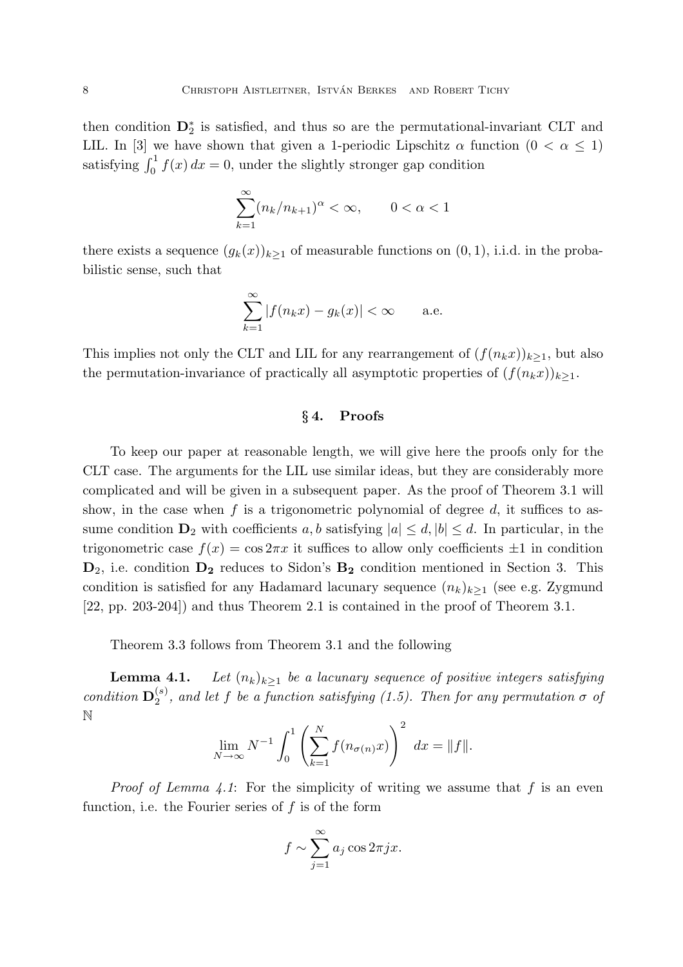then condition D<sup>∗</sup> 2 is satisfied, and thus so are the permutational-invariant CLT and LIL. In [3] we have shown that given a 1-periodic Lipschitz  $\alpha$  function  $(0 < \alpha \leq 1)$ satisfying  $\int_0^1 f(x) dx = 0$ , under the slightly stronger gap condition

$$
\sum_{k=1}^{\infty} (n_k/n_{k+1})^{\alpha} < \infty, \qquad 0 < \alpha < 1
$$

there exists a sequence  $(g_k(x))_{k>1}$  of measurable functions on  $(0, 1)$ , i.i.d. in the probabilistic sense, such that

$$
\sum_{k=1}^{\infty} |f(n_k x) - g_k(x)| < \infty \qquad \text{a.e.}
$$

This implies not only the CLT and LIL for any rearrangement of  $(f(n_kx))_{k>1}$ , but also the permutation-invariance of practically all asymptotic properties of  $(f(n_kx))_{k\geq 1}$ .

# § 4. Proofs

To keep our paper at reasonable length, we will give here the proofs only for the CLT case. The arguments for the LIL use similar ideas, but they are considerably more complicated and will be given in a subsequent paper. As the proof of Theorem 3.1 will show, in the case when  $f$  is a trigonometric polynomial of degree  $d$ , it suffices to assume condition  $\mathbf{D}_2$  with coefficients a, b satisfying  $|a| \leq d$ ,  $|b| \leq d$ . In particular, in the trigonometric case  $f(x) = \cos 2\pi x$  it suffices to allow only coefficients  $\pm 1$  in condition  $D_2$ , i.e. condition  $D_2$  reduces to Sidon's  $B_2$  condition mentioned in Section 3. This condition is satisfied for any Hadamard lacunary sequence  $(n_k)_{k>1}$  (see e.g. Zygmund [22, pp. 203-204]) and thus Theorem 2.1 is contained in the proof of Theorem 3.1.

Theorem 3.3 follows from Theorem 3.1 and the following

**Lemma 4.1.** *Let*  $(n_k)_{k\geq 1}$  *be a lacunary sequence of positive integers satisfying*  $condition \mathbf{D}_2^{(s)}$  $\alpha_2^{(s)}$ , and let f be a function satisfying  $(1.5)$ . Then for any permutation  $\sigma$  of N

$$
\lim_{N \to \infty} N^{-1} \int_0^1 \left( \sum_{k=1}^N f(n_{\sigma(n)} x) \right)^2 dx = ||f||.
$$

*Proof of Lemma 4.1*: For the simplicity of writing we assume that  $f$  is an even function, i.e. the Fourier series of  $f$  is of the form

$$
f \sim \sum_{j=1}^{\infty} a_j \cos 2\pi j x.
$$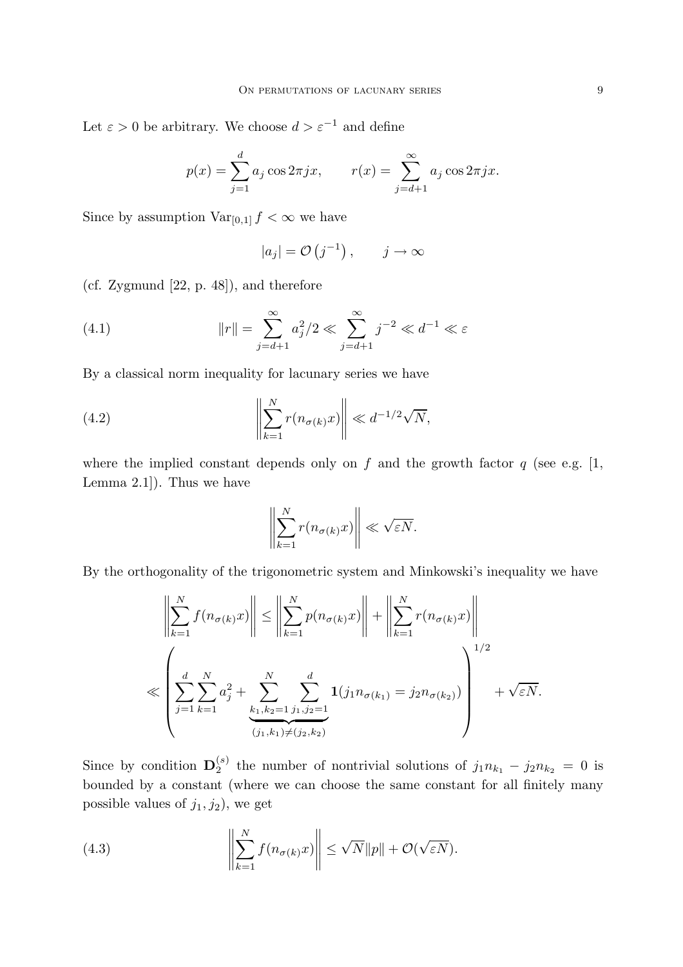Let  $\varepsilon > 0$  be arbitrary. We choose  $d > \varepsilon^{-1}$  and define

$$
p(x) = \sum_{j=1}^{d} a_j \cos 2\pi jx
$$
,  $r(x) = \sum_{j=d+1}^{\infty} a_j \cos 2\pi jx$ .

Since by assumption  $Var_{[0,1]} f < \infty$  we have

$$
|a_j| = \mathcal{O}(j^{-1}), \quad j \to \infty
$$

(cf. Zygmund [22, p. 48]), and therefore

(4.1) 
$$
||r|| = \sum_{j=d+1}^{\infty} a_j^2 / 2 \ll \sum_{j=d+1}^{\infty} j^{-2} \ll d^{-1} \ll \varepsilon
$$

By a classical norm inequality for lacunary series we have

(4.2) 
$$
\left\| \sum_{k=1}^{N} r(n_{\sigma(k)} x) \right\| \ll d^{-1/2} \sqrt{N},
$$

where the implied constant depends only on f and the growth factor  $q$  (see e.g. [1, Lemma 2.1]). Thus we have

$$
\left\| \sum_{k=1}^N r(n_{\sigma(k)} x) \right\| \ll \sqrt{\varepsilon N}.
$$

By the orthogonality of the trigonometric system and Minkowski's inequality we have

$$
\left\| \sum_{k=1}^{N} f(n_{\sigma(k)} x) \right\| \le \left\| \sum_{k=1}^{N} p(n_{\sigma(k)} x) \right\| + \left\| \sum_{k=1}^{N} r(n_{\sigma(k)} x) \right\|
$$
  

$$
\le \left( \sum_{j=1}^{d} \sum_{k=1}^{N} a_j^2 + \sum_{\substack{k_1, k_2 = 1 \ j_1, j_2 = 1}}^{N} \sum_{j_1, j_2 = 1}^{d} \mathbf{1}(j_1 n_{\sigma(k_1)} = j_2 n_{\sigma(k_2)}) \right)^{1/2} + \sqrt{\varepsilon N}.
$$

Since by condition  $\mathbf{D}_2^{(s)}$  $i_2^{(s)}$  the number of nontrivial solutions of  $j_1 n_{k_1} - j_2 n_{k_2} = 0$  is bounded by a constant (where we can choose the same constant for all finitely many possible values of  $j_1, j_2$ , we get

(4.3) 
$$
\left\| \sum_{k=1}^{N} f(n_{\sigma(k)} x) \right\| \leq \sqrt{N} \|p\| + \mathcal{O}(\sqrt{\varepsilon N}).
$$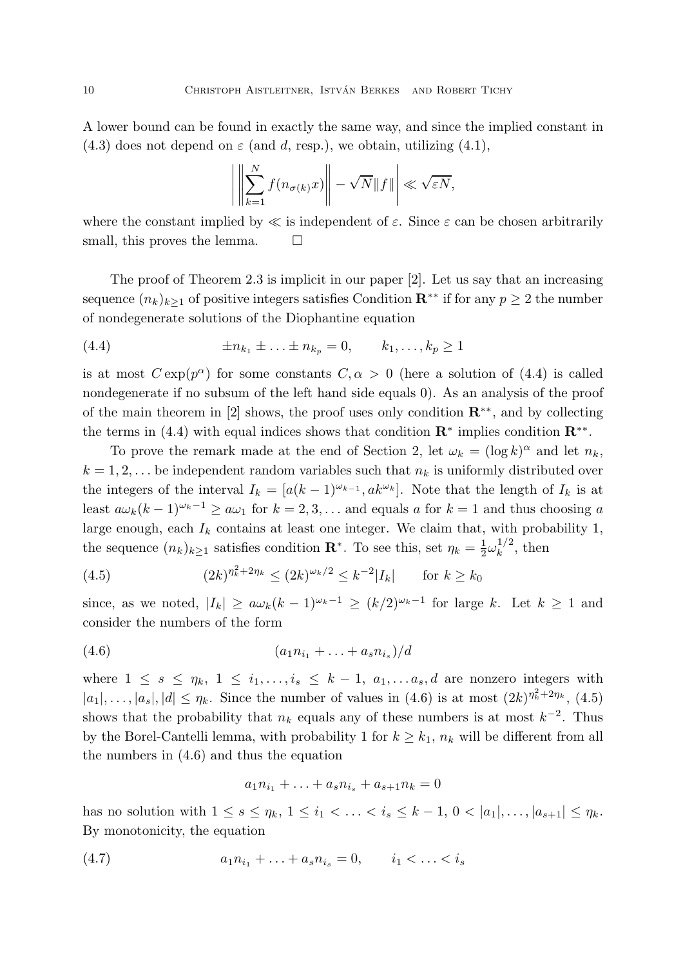A lower bound can be found in exactly the same way, and since the implied constant in (4.3) does not depend on  $\varepsilon$  (and d, resp.), we obtain, utilizing (4.1),

$$
\left| \left| \sum_{k=1}^N f(n_{\sigma(k)} x) \right| - \sqrt{N} \| f \| \right| \ll \sqrt{\varepsilon N},
$$

where the constant implied by  $\ll$  is independent of  $\varepsilon$ . Since  $\varepsilon$  can be chosen arbitrarily small, this proves the lemma.  $\square$ 

The proof of Theorem 2.3 is implicit in our paper [2]. Let us say that an increasing sequence  $(n_k)_{k>1}$  of positive integers satisfies Condition  $\mathbb{R}^{**}$  if for any  $p \geq 2$  the number of nondegenerate solutions of the Diophantine equation

(4.4) 
$$
\pm n_{k_1} \pm \ldots \pm n_{k_p} = 0, \qquad k_1, \ldots, k_p \ge 1
$$

is at most  $C \exp(p^{\alpha})$  for some constants  $C, \alpha > 0$  (here a solution of (4.4) is called nondegenerate if no subsum of the left hand side equals 0). As an analysis of the proof of the main theorem in [2] shows, the proof uses only condition  $\mathbb{R}^{**}$ , and by collecting the terms in (4.4) with equal indices shows that condition  $\mathbb{R}^*$  implies condition  $\mathbb{R}^{**}$ .

To prove the remark made at the end of Section 2, let  $\omega_k = (\log k)^{\alpha}$  and let  $n_k$ ,  $k = 1, 2, \ldots$  be independent random variables such that  $n_k$  is uniformly distributed over the integers of the interval  $I_k = [a(k-1)^{\omega_{k-1}}, ak^{\omega_k}]$ . Note that the length of  $I_k$  is at least  $a\omega_k(k-1)^{\omega_k-1} \ge a\omega_1$  for  $k=2,3,...$  and equals a for  $k=1$  and thus choosing a large enough, each  $I_k$  contains at least one integer. We claim that, with probability 1, the sequence  $(n_k)_{k\geq 1}$  satisfies condition  $\mathbf{R}^*$ . To see this, set  $\eta_k = \frac{1}{2}$  $\frac{1}{2}\omega_k^{1/2}$  $\frac{1}{k}$ , then

(4.5) 
$$
(2k)^{\eta_k^2 + 2\eta_k} \le (2k)^{\omega_k/2} \le k^{-2}|I_k| \quad \text{for } k \ge k_0
$$

since, as we noted,  $|I_k| \ge a\omega_k(k-1)^{\omega_k-1} \ge (k/2)^{\omega_k-1}$  for large k. Let  $k \ge 1$  and consider the numbers of the form

$$
(4.6) \t\t\t (a_1 n_{i_1} + \ldots + a_s n_{i_s})/d
$$

where  $1 \leq s \leq \eta_k$ ,  $1 \leq i_1, \ldots, i_s \leq k-1$ ,  $a_1, \ldots, a_s, d$  are nonzero integers with  $|a_1|, \ldots, |a_s|, |d| \leq \eta_k$ . Since the number of values in (4.6) is at most  $(2k)^{\eta_k^2 + 2\eta_k}$ , (4.5) shows that the probability that  $n_k$  equals any of these numbers is at most  $k^{-2}$ . Thus by the Borel-Cantelli lemma, with probability 1 for  $k \geq k_1$ ,  $n_k$  will be different from all the numbers in (4.6) and thus the equation

$$
a_1 n_{i_1} + \ldots + a_s n_{i_s} + a_{s+1} n_k = 0
$$

has no solution with  $1 \le s \le \eta_k$ ,  $1 \le i_1 < \ldots < i_s \le k-1$ ,  $0 < |a_1|, \ldots, |a_{s+1}| \le \eta_k$ . By monotonicity, the equation

$$
(4.7) \t\t\t a_1 n_{i_1} + \ldots + a_s n_{i_s} = 0, \t i_1 < \ldots < i_s
$$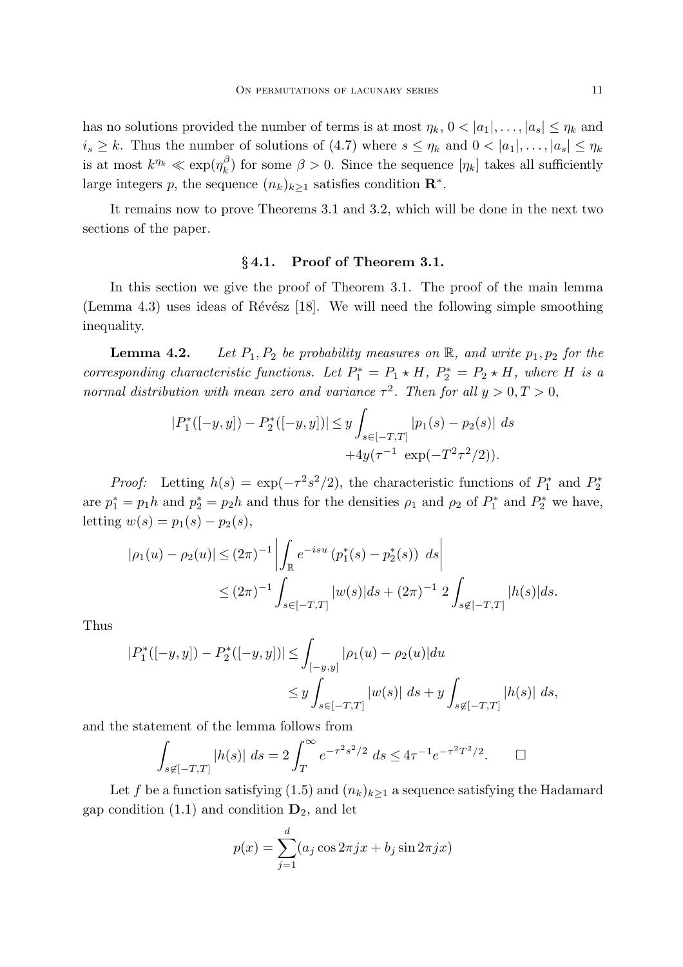has no solutions provided the number of terms is at most  $\eta_k$ ,  $0 < |a_1|, \ldots, |a_s| \leq \eta_k$  and  $i_s \geq k$ . Thus the number of solutions of (4.7) where  $s \leq \eta_k$  and  $0 < |a_1|, \ldots, |a_s| \leq \eta_k$ is at most  $k^{\eta_k} \ll \exp(\eta_k^{\beta_k})$  $\binom{p}{k}$  for some  $\beta > 0$ . Since the sequence  $[\eta_k]$  takes all sufficiently large integers p, the sequence  $(n_k)_{k\geq 1}$  satisfies condition  $\mathbb{R}^*$ .

It remains now to prove Theorems 3.1 and 3.2, which will be done in the next two sections of the paper.

# § 4.1. Proof of Theorem 3.1.

In this section we give the proof of Theorem 3.1. The proof of the main lemma (Lemma 4.3) uses ideas of Révész  $[18]$ . We will need the following simple smoothing inequality.

**Lemma 4.2.** *Let*  $P_1, P_2$  *be probability measures on*  $\mathbb{R}$ *, and write*  $p_1, p_2$  *for the corresponding characteristic functions. Let*  $P_1^* = P_1 \star H$ ,  $P_2^* = P_2 \star H$ , where H is a *normal distribution with mean zero and variance*  $\tau^2$ . *Then for all*  $y > 0, T > 0$ ,

$$
|P_1^*([-y,y]) - P_2^*([-y,y])| \le y \int_{s \in [-T,T]} |p_1(s) - p_2(s)| ds
$$
  
+4y(\tau<sup>-1</sup> exp(-T<sup>2</sup>\tau<sup>2</sup>/2)).

*Proof:* Letting  $h(s) = \exp(-\tau^2 s^2/2)$ , the characteristic functions of  $P_1^*$  and  $P_2^*$ are  $p_1^* = p_1 h$  and  $p_2^* = p_2 h$  and thus for the densities  $\rho_1$  and  $\rho_2$  of  $P_1^*$  and  $P_2^*$  we have, letting  $w(s) = p_1(s) - p_2(s)$ ,

$$
|\rho_1(u) - \rho_2(u)| \le (2\pi)^{-1} \left| \int_{\mathbb{R}} e^{-isu} (p_1^*(s) - p_2^*(s)) ds \right|
$$
  
 
$$
\le (2\pi)^{-1} \int_{s \in [-T,T]} |w(s)| ds + (2\pi)^{-1} 2 \int_{s \notin [-T,T]} |h(s)| ds.
$$

Thus

$$
|P_1^*([-y,y]) - P_2^*([-y,y])| \le \int_{[-y,y]} |\rho_1(u) - \rho_2(u)| du
$$
  

$$
\le y \int_{s \in [-T,T]} |w(s)| ds + y \int_{s \notin [-T,T]} |h(s)| ds,
$$

and the statement of the lemma follows from

$$
\int_{s \notin [-T,T]} |h(s)| \, ds = 2 \int_T^{\infty} e^{-\tau^2 s^2/2} \, ds \le 4\tau^{-1} e^{-\tau^2 T^2/2}.
$$

Let f be a function satisfying (1.5) and  $(n_k)_{k\geq 1}$  a sequence satisfying the Hadamard gap condition  $(1.1)$  and condition  $\mathbf{D}_2$ , and let

$$
p(x) = \sum_{j=1}^{d} (a_j \cos 2\pi jx + b_j \sin 2\pi jx)
$$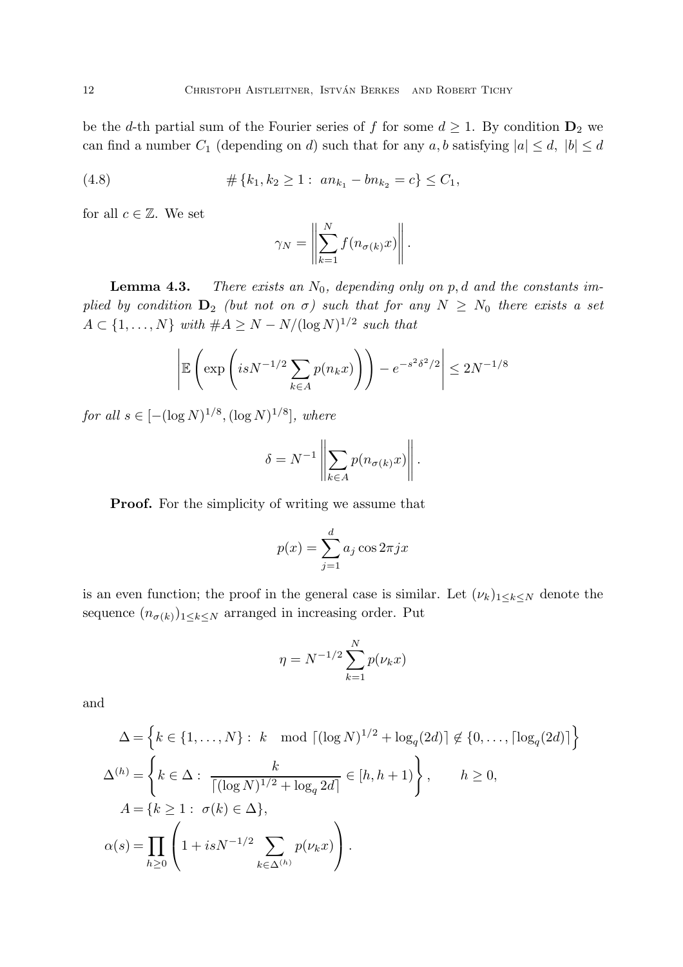be the d-th partial sum of the Fourier series of f for some  $d \geq 1$ . By condition  $\mathbf{D}_2$  we can find a number  $C_1$  (depending on d) such that for any a, b satisfying  $|a| \leq d$ ,  $|b| \leq d$ 

(4.8) 
$$
\#\{k_1, k_2 \geq 1: an_{k_1} - bn_{k_2} = c\} \leq C_1,
$$

for all  $c \in \mathbb{Z}$ . We set

$$
\gamma_N = \left\| \sum_{k=1}^N f(n_{\sigma(k)} x) \right\|.
$$

**Lemma 4.3.** *There exists an*  $N_0$ , depending only on p, d and the constants im*plied by condition*  $D_2$  *(but not on*  $\sigma$ *) such that for any*  $N \geq N_0$  *there exists a set*  $A \subset \{1, \ldots, N\}$  with  $\#A \geq N - N/(\log N)^{1/2}$  such that

$$
\left| \mathbb{E}\left(\exp\left(isN^{-1/2}\sum_{k\in A}p(n_kx)\right)\right) - e^{-s^2\delta^2/2} \right| \le 2N^{-1/8}
$$

*for all*  $s \in [-(\log N)^{1/8}, (\log N)^{1/8}]$ *, where* 

$$
\delta = N^{-1} \left\| \sum_{k \in A} p(n_{\sigma(k)} x) \right\|.
$$

Proof. For the simplicity of writing we assume that

$$
p(x) = \sum_{j=1}^{d} a_j \cos 2\pi j x
$$

is an even function; the proof in the general case is similar. Let  $(\nu_k)_{1\leq k\leq N}$  denote the sequence  $(n_{\sigma(k)})_{1\leq k\leq N}$  arranged in increasing order. Put

$$
\eta = N^{-1/2} \sum_{k=1}^{N} p(\nu_k x)
$$

and

$$
\Delta = \left\{ k \in \{1, ..., N\} : k \mod \lceil (\log N)^{1/2} + \log_q(2d) \rceil \notin \{0, ..., \lceil \log_q(2d) \rceil \right\}
$$
  

$$
\Delta^{(h)} = \left\{ k \in \Delta : \frac{k}{\lceil (\log N)^{1/2} + \log_q 2d \rceil} \in [h, h + 1) \right\}, \qquad h \ge 0,
$$
  

$$
A = \{ k \ge 1 : \sigma(k) \in \Delta \},
$$
  

$$
\alpha(s) = \prod_{h \ge 0} \left( 1 + isN^{-1/2} \sum_{k \in \Delta^{(h)}} p(\nu_k x) \right).
$$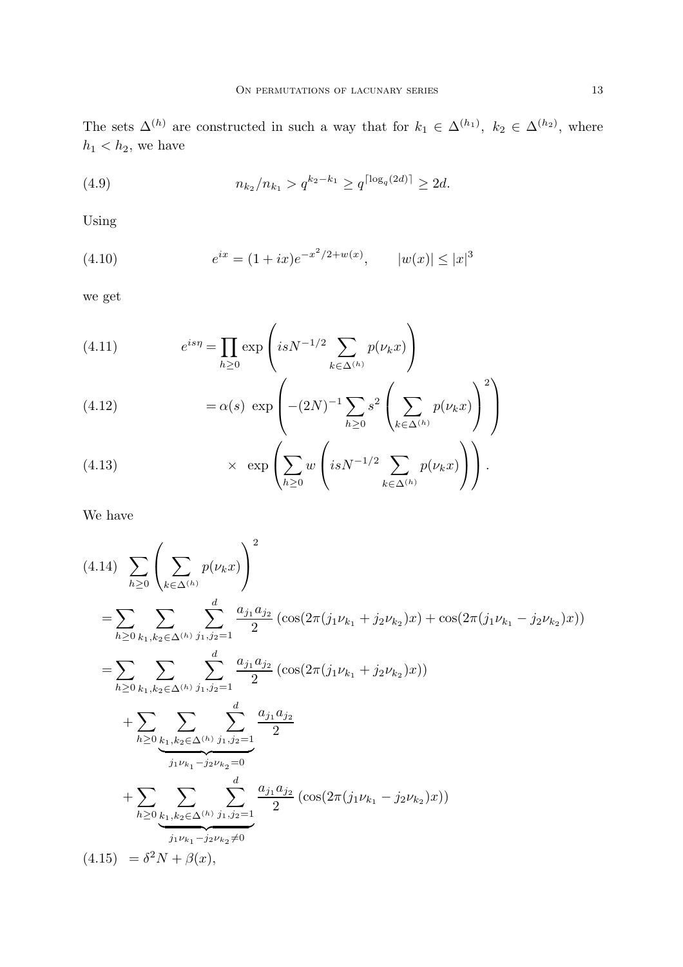The sets  $\Delta^{(h)}$  are constructed in such a way that for  $k_1 \in \Delta^{(h_1)}$ ,  $k_2 \in \Delta^{(h_2)}$ , where  $h_1 < h_2$ , we have

(4.9) 
$$
n_{k_2}/n_{k_1} > q^{k_2 - k_1} \ge q^{\lceil \log_q(2d) \rceil} \ge 2d.
$$

Using

(4.10) 
$$
e^{ix} = (1 + ix)e^{-x^2/2 + w(x)}, \qquad |w(x)| \le |x|^3
$$

we get

(4.11) 
$$
e^{is\eta} = \prod_{h \ge 0} \exp\left(isN^{-1/2} \sum_{k \in \Delta^{(h)}} p(\nu_k x)\right)
$$

(4.12) 
$$
= \alpha(s) \exp \left( -(2N)^{-1} \sum_{h \ge 0} s^2 \left( \sum_{k \in \Delta^{(h)}} p(\nu_k x) \right)^2 \right)
$$

(4.13) 
$$
\times \exp\left(\sum_{h\geq 0} w\left(isN^{-1/2}\sum_{k\in\Delta^{(h)}} p(\nu_k x)\right)\right).
$$

We have

$$
(4.14) \sum_{h\geq 0} \left( \sum_{k\in\Delta^{(h)}} p(\nu_k x) \right)^2
$$
  
\n
$$
= \sum_{h\geq 0} \sum_{k_1,k_2\in\Delta^{(h)}} \sum_{j_1,j_2=1}^d \frac{a_{j_1}a_{j_2}}{2} \left( \cos(2\pi(j_1\nu_{k_1} + j_2\nu_{k_2})x) + \cos(2\pi(j_1\nu_{k_1} - j_2\nu_{k_2})x) \right)
$$
  
\n
$$
= \sum_{h\geq 0} \sum_{k_1,k_2\in\Delta^{(h)}} \sum_{j_1,j_2=1}^d \frac{a_{j_1}a_{j_2}}{2} \left( \cos(2\pi(j_1\nu_{k_1} + j_2\nu_{k_2})x) \right)
$$
  
\n
$$
+ \sum_{h\geq 0} \sum_{\substack{k_1,k_2\in\Delta^{(h)}} \sum_{j_1,j_2=1}^d \frac{a_{j_1}a_{j_2}}{2}}{2}
$$
  
\n
$$
+ \sum_{h\geq 0} \sum_{\substack{k_1,k_2\in\Delta^{(h)}} \sum_{j_1,j_2=1}^d \frac{a_{j_1}a_{j_2}}{2} \left( \cos(2\pi(j_1\nu_{k_1} - j_2\nu_{k_2})x) \right)
$$
  
\n
$$
(4.15) = \delta^2 N + \beta(x),
$$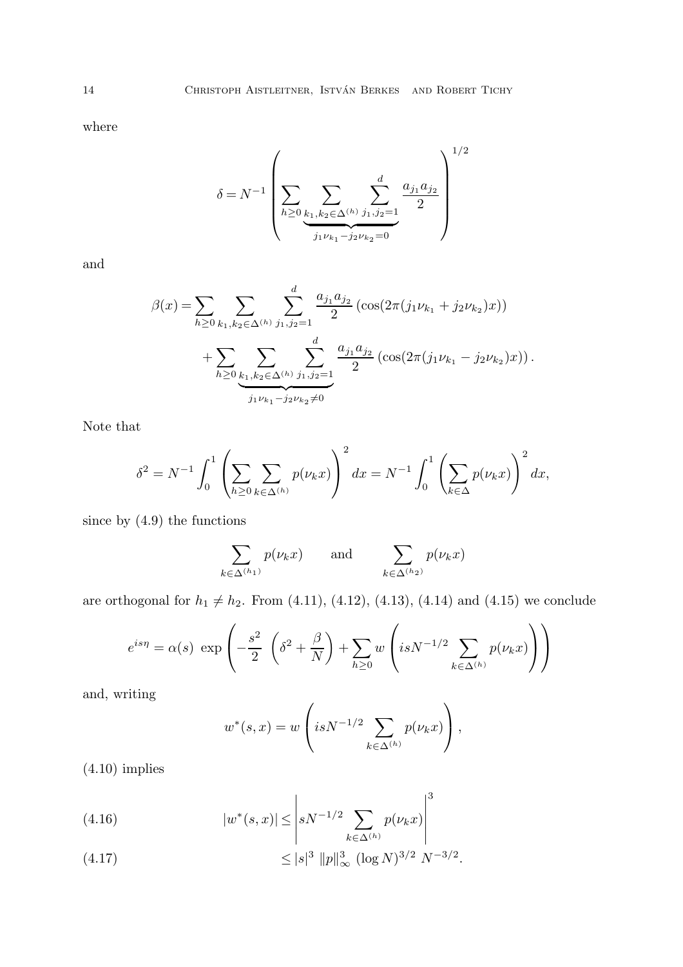where

$$
\delta = N^{-1} \left(\sum_{h \geq 0} \sum_{\substack{k_1, k_2 \in \Delta^{(h)}} \sum_{j_1, j_2 = 1 \atop j_1 \nu_{k_1} - j_2 \nu_{k_2} = 0}} \frac{a_{j_1} a_{j_2}}{2}\right)^{1/2}
$$

and

$$
\beta(x) = \sum_{h \ge 0} \sum_{k_1, k_2 \in \Delta^{(h)}} \sum_{j_1, j_2 = 1}^d \frac{a_{j_1} a_{j_2}}{2} \left( \cos(2\pi (j_1 \nu_{k_1} + j_2 \nu_{k_2}) x) \right) + \sum_{h \ge 0} \sum_{\substack{k_1, k_2 \in \Delta^{(h)}}} \sum_{j_1, j_2 = 1}^d \frac{a_{j_1} a_{j_2}}{2} \left( \cos(2\pi (j_1 \nu_{k_1} - j_2 \nu_{k_2}) x) \right).
$$

Note that

$$
\delta^{2} = N^{-1} \int_{0}^{1} \left( \sum_{h \ge 0} \sum_{k \in \Delta^{(h)}} p(\nu_{k} x) \right)^{2} dx = N^{-1} \int_{0}^{1} \left( \sum_{k \in \Delta} p(\nu_{k} x) \right)^{2} dx,
$$

since by (4.9) the functions

$$
\sum_{k \in \Delta^{(h_1)}} p(\nu_k x) \qquad \text{and} \qquad \sum_{k \in \Delta^{(h_2)}} p(\nu_k x)
$$

are orthogonal for  $h_1 \neq h_2$ . From (4.11), (4.12), (4.13), (4.14) and (4.15) we conclude

$$
e^{is\eta} = \alpha(s) \exp\left(-\frac{s^2}{2} \left(\delta^2 + \frac{\beta}{N}\right) + \sum_{h\geq 0} w \left(isN^{-1/2} \sum_{k\in\Delta^{(h)}} p(\nu_k x)\right)\right)
$$

and, writing

$$
w^*(s,x) = w\left(isN^{-1/2}\sum_{k\in\Delta^{(h)}}p(\nu_kx)\right),\,
$$

 $(4.10)$  implies

(4.16) 
$$
|w^*(s,x)| \leq \left| s^{N-1/2} \sum_{k \in \Delta^{(h)}} p(\nu_k x) \right|^3
$$

(4.17) 
$$
\leq |s|^3 \|p\|_{\infty}^3 (\log N)^{3/2} N^{-3/2}.
$$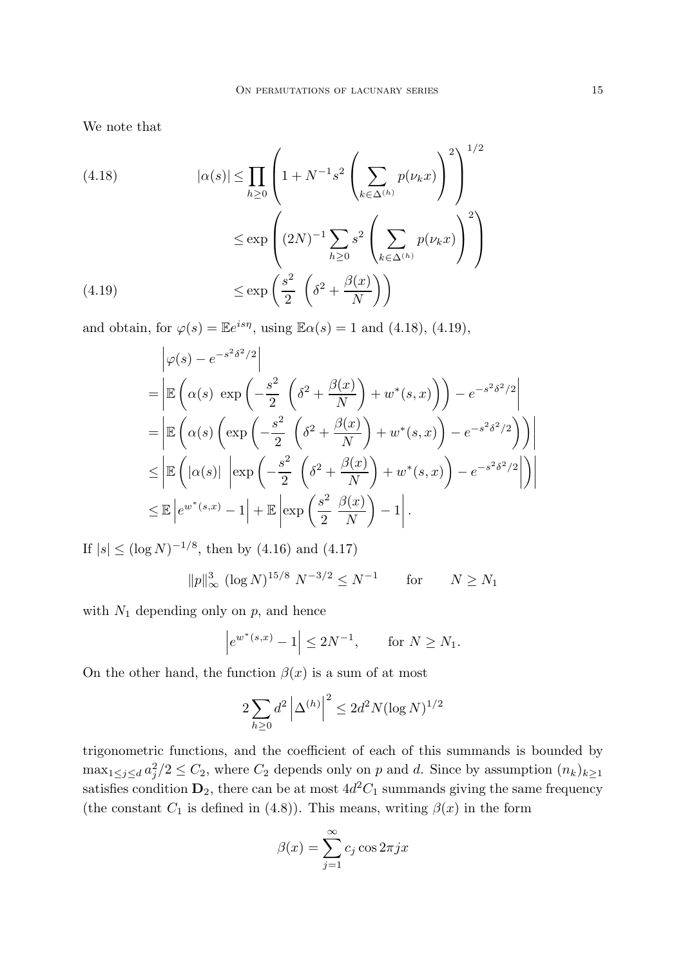We note that

(4.18) 
$$
|\alpha(s)| \le \prod_{h\ge0} \left(1 + N^{-1}s^2 \left(\sum_{k\in\Delta^{(h)}} p(\nu_k x)\right)^2\right)^{1/2}
$$

$$
\le \exp\left((2N)^{-1} \sum_{h\ge0} s^2 \left(\sum_{k\in\Delta^{(h)}} p(\nu_k x)\right)^2\right)
$$

$$
\le \exp\left(\frac{s^2}{2} \left(\delta^2 + \frac{\beta(x)}{N}\right)\right)
$$

and obtain, for  $\varphi(s) = \mathbb{E}e^{is\eta}$ , using  $\mathbb{E}\alpha(s) = 1$  and (4.18), (4.19),

$$
\left| \varphi(s) - e^{-s^2 \delta^2/2} \right|
$$
  
\n
$$
= \left| \mathbb{E} \left( \alpha(s) \exp \left( -\frac{s^2}{2} \left( \delta^2 + \frac{\beta(x)}{N} \right) + w^*(s, x) \right) \right) - e^{-s^2 \delta^2/2} \right|
$$
  
\n
$$
= \left| \mathbb{E} \left( \alpha(s) \left( \exp \left( -\frac{s^2}{2} \left( \delta^2 + \frac{\beta(x)}{N} \right) + w^*(s, x) \right) - e^{-s^2 \delta^2/2} \right) \right) \right|
$$
  
\n
$$
\leq \left| \mathbb{E} \left( |\alpha(s)| \left| \exp \left( -\frac{s^2}{2} \left( \delta^2 + \frac{\beta(x)}{N} \right) + w^*(s, x) \right) - e^{-s^2 \delta^2/2} \right| \right) \right|
$$
  
\n
$$
\leq \mathbb{E} \left| e^{w^*(s, x)} - 1 \right| + \mathbb{E} \left| \exp \left( \frac{s^2}{2} \frac{\beta(x)}{N} \right) - 1 \right|.
$$

If  $|s| \leq (\log N)^{-1/8}$ , then by (4.16) and (4.17)

$$
||p||_{\infty}^{3} (\log N)^{15/8} N^{-3/2} \le N^{-1}
$$
 for  $N \ge N_1$ 

with  $N_1$  depending only on  $p$ , and hence

$$
|e^{w^*(s,x)} - 1| \le 2N^{-1}
$$
, for  $N \ge N_1$ .

On the other hand, the function  $\beta(x)$  is a sum of at most

$$
2\sum_{h\geq 0} d^2 \left| \Delta^{(h)} \right|^2 \leq 2d^2 N (\log N)^{1/2}
$$

trigonometric functions, and the coefficient of each of this summands is bounded by  $\max_{1 \leq j \leq d} a_j^2/2 \leq C_2$ , where  $C_2$  depends only on p and d. Since by assumption  $(n_k)_{k \geq 1}$ satisfies condition  $\mathbf{D}_2$ , there can be at most  $4d^2C_1$  summands giving the same frequency (the constant  $C_1$  is defined in (4.8)). This means, writing  $\beta(x)$  in the form

$$
\beta(x) = \sum_{j=1}^{\infty} c_j \cos 2\pi j x
$$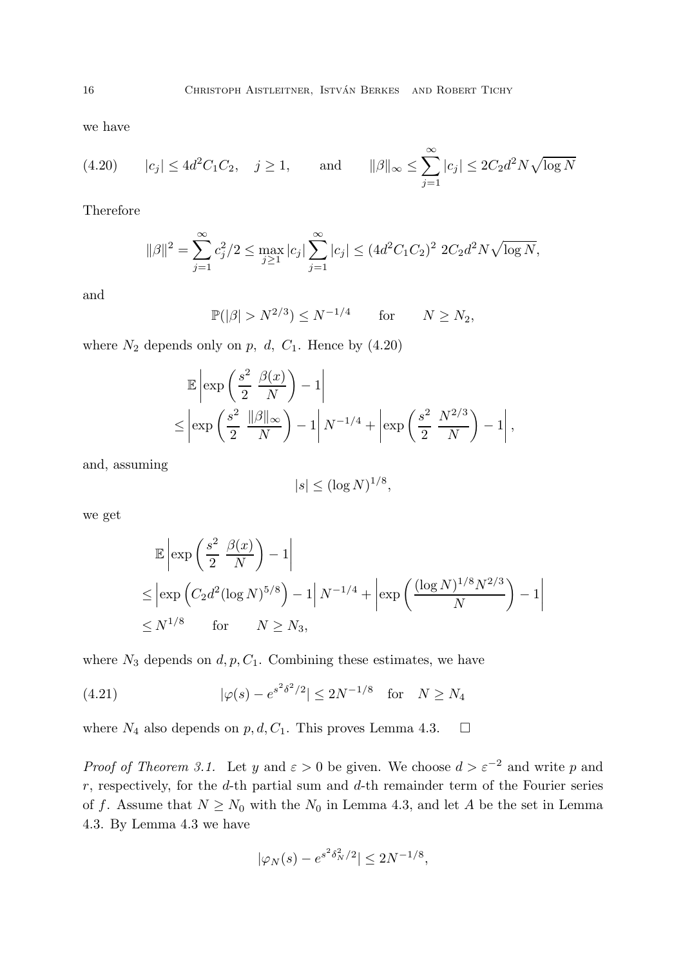we have

(4.20) 
$$
|c_j| \le 4d^2C_1C_2
$$
,  $j \ge 1$ , and  $||\beta||_{\infty} \le \sum_{j=1}^{\infty} |c_j| \le 2C_2d^2N\sqrt{\log N}$ 

Therefore

$$
\|\beta\|^2 = \sum_{j=1}^{\infty} c_j^2/2 \le \max_{j\ge 1} |c_j| \sum_{j=1}^{\infty} |c_j| \le (4d^2C_1C_2)^2 2C_2d^2N\sqrt{\log N},
$$

and

$$
\mathbb{P}(|\beta| > N^{2/3}) \le N^{-1/4} \qquad \text{for} \qquad N \ge N_2,
$$

where  $N_2$  depends only on p, d,  $C_1$ . Hence by  $(4.20)$ 

$$
\mathbb{E}\left|\exp\left(\frac{s^2}{2}\frac{\beta(x)}{N}\right)-1\right|
$$
  

$$
\leq \left|\exp\left(\frac{s^2}{2}\frac{\|\beta\|_{\infty}}{N}\right)-1\right|N^{-1/4}+\left|\exp\left(\frac{s^2}{2}\frac{N^{2/3}}{N}\right)-1\right|,
$$

and, assuming

$$
|s| \le (\log N)^{1/8},
$$

we get

$$
\mathbb{E}\left|\exp\left(\frac{s^2}{2}\frac{\beta(x)}{N}\right) - 1\right|
$$
  
\n
$$
\leq \left|\exp\left(C_2d^2(\log N)^{5/8}\right) - 1\right| N^{-1/4} + \left|\exp\left(\frac{(\log N)^{1/8}N^{2/3}}{N}\right) - 1\right|
$$
  
\n
$$
\leq N^{1/8} \quad \text{for} \quad N \geq N_3,
$$

where  $N_3$  depends on  $d, p, C_1$ . Combining these estimates, we have

(4.21) 
$$
|\varphi(s) - e^{s^2 \delta^2/2}| \le 2N^{-1/8} \text{ for } N \ge N_4
$$

where  $N_4$  also depends on  $p, d, C_1$ . This proves Lemma 4.3.  $\Box$ 

*Proof of Theorem 3.1.* Let y and  $\varepsilon > 0$  be given. We choose  $d > \varepsilon^{-2}$  and write p and  $r$ , respectively, for the  $d$ -th partial sum and  $d$ -th remainder term of the Fourier series of f. Assume that  $N \ge N_0$  with the  $N_0$  in Lemma 4.3, and let A be the set in Lemma 4.3. By Lemma 4.3 we have

$$
|\varphi_N(s) - e^{s^2 \delta_N^2/2}| \le 2N^{-1/8},
$$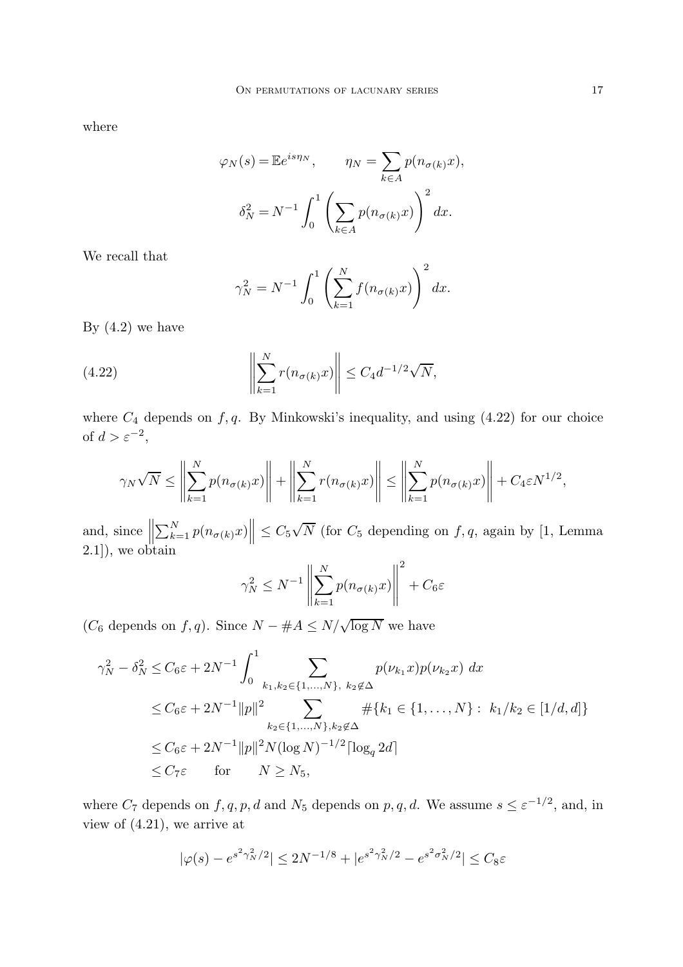where

$$
\varphi_N(s) = \mathbb{E}e^{is\eta_N}, \qquad \eta_N = \sum_{k \in A} p(n_{\sigma(k)}x),
$$

$$
\delta_N^2 = N^{-1} \int_0^1 \left(\sum_{k \in A} p(n_{\sigma(k)}x)\right)^2 dx.
$$

We recall that

$$
\gamma_N^2 = N^{-1} \int_0^1 \left( \sum_{k=1}^N f(n_{\sigma(k)} x) \right)^2 dx.
$$

By  $(4.2)$  we have

(4.22) 
$$
\left\| \sum_{k=1}^{N} r(n_{\sigma(k)} x) \right\| \leq C_4 d^{-1/2} \sqrt{N},
$$

where  $C_4$  depends on  $f, q$ . By Minkowski's inequality, and using  $(4.22)$  for our choice of  $d > \varepsilon^{-2}$ ,

$$
\gamma_N \sqrt{N} \le \left\| \sum_{k=1}^N p(n_{\sigma(k)} x) \right\| + \left\| \sum_{k=1}^N r(n_{\sigma(k)} x) \right\| \le \left\| \sum_{k=1}^N p(n_{\sigma(k)} x) \right\| + C_4 \varepsilon N^{1/2},
$$

and, since  $\Big\|$  $\sum_{k=1}^{N} p(n_{\sigma(k)}x) \leq C_5\sqrt{N}$  (for  $C_5$  depending on  $f, q$ , again by [1, Lemma 2.1]), we obtain

$$
\gamma_N^2 \le N^{-1} \left\| \sum_{k=1}^N p(n_{\sigma(k)} x) \right\|^2 + C_6 \varepsilon
$$

( $C_6$  depends on  $f, q$ ). Since  $N - #A \leq N/\sqrt{\log N}$  we have

$$
\gamma_N^2 - \delta_N^2 \le C_6 \varepsilon + 2N^{-1} \int_0^1 \sum_{k_1, k_2 \in \{1, ..., N\}, k_2 \notin \Delta} p(\nu_{k_1} x) p(\nu_{k_2} x) dx
$$
  
\n
$$
\le C_6 \varepsilon + 2N^{-1} ||p||^2 \sum_{k_2 \in \{1, ..., N\}, k_2 \notin \Delta} #\{k_1 \in \{1, ..., N\} : k_1/k_2 \in [1/d, d]\}
$$
  
\n
$$
\le C_6 \varepsilon + 2N^{-1} ||p||^2 N (\log N)^{-1/2} [\log_q 2d]
$$
  
\n
$$
\le C_7 \varepsilon \quad \text{for} \quad N \ge N_5,
$$

where  $C_7$  depends on  $f, q, p, d$  and  $N_5$  depends on  $p, q, d$ . We assume  $s \leq \varepsilon^{-1/2}$ , and, in view of (4.21), we arrive at

$$
|\varphi(s) - e^{s^2 \gamma_N^2/2}| \le 2N^{-1/8} + |e^{s^2 \gamma_N^2/2} - e^{s^2 \sigma_N^2/2}| \le C_8 \varepsilon
$$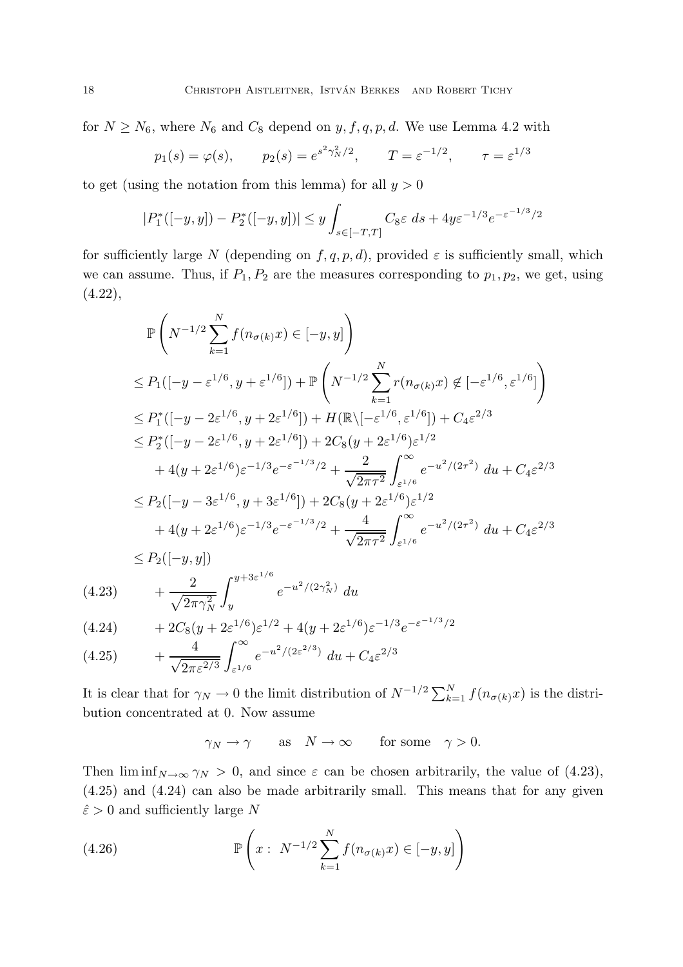for  $N \ge N_6$ , where  $N_6$  and  $C_8$  depend on  $y, f, q, p, d$ . We use Lemma 4.2 with

$$
p_1(s) = \varphi(s),
$$
  $p_2(s) = e^{s^2 \gamma_N^2/2},$   $T = \varepsilon^{-1/2},$   $\tau = \varepsilon^{1/3}$ 

to get (using the notation from this lemma) for all  $y > 0$ 

$$
|P_1^*([-y,y]) - P_2^*([-y,y])| \le y \int_{s \in [-T,T]} C_8 \varepsilon \, ds + 4y \varepsilon^{-1/3} e^{-\varepsilon^{-1/3}/2}
$$

for sufficiently large N (depending on  $f, q, p, d$ ), provided  $\varepsilon$  is sufficiently small, which we can assume. Thus, if  $P_1, P_2$  are the measures corresponding to  $p_1, p_2$ , we get, using  $(4.22),$ 

$$
\mathbb{P}\left(N^{-1/2}\sum_{k=1}^{N}f(n_{\sigma(k)}x)\in[-y,y]\right)
$$
\n
$$
\leq P_{1}([-y-\varepsilon^{1/6},y+\varepsilon^{1/6}]) + \mathbb{P}\left(N^{-1/2}\sum_{k=1}^{N}r(n_{\sigma(k)}x)\notin[-\varepsilon^{1/6},\varepsilon^{1/6}]\right)
$$
\n
$$
\leq P_{1}^{*}([-y-2\varepsilon^{1/6},y+2\varepsilon^{1/6}]) + H(\mathbb{R}\setminus[-\varepsilon^{1/6},\varepsilon^{1/6}]) + C_{4}\varepsilon^{2/3}
$$
\n
$$
\leq P_{2}^{*}([-y-2\varepsilon^{1/6},y+2\varepsilon^{1/6}]) + 2C_{8}(y+2\varepsilon^{1/6})\varepsilon^{1/2}
$$
\n
$$
+ 4(y+2\varepsilon^{1/6})\varepsilon^{-1/3}e^{-\varepsilon^{-1/3}/2} + \frac{2}{\sqrt{2\pi\tau^{2}}}\int_{\varepsilon^{1/6}}^{\infty}e^{-u^{2}/(2\tau^{2})}du + C_{4}\varepsilon^{2/3}
$$
\n
$$
\leq P_{2}([-y-3\varepsilon^{1/6},y+3\varepsilon^{1/6}]) + 2C_{8}(y+2\varepsilon^{1/6})\varepsilon^{1/2}
$$
\n
$$
+ 4(y+2\varepsilon^{1/6})\varepsilon^{-1/3}e^{-\varepsilon^{-1/3}/2} + \frac{4}{\sqrt{2\pi\tau^{2}}}\int_{\varepsilon^{1/6}}^{\infty}e^{-u^{2}/(2\tau^{2})}du + C_{4}\varepsilon^{2/3}
$$
\n
$$
\leq P_{2}([-y,y])
$$

(4.23) 
$$
+ \frac{2}{\sqrt{2\pi\gamma_N^2}} \int_{y}^{y+3\varepsilon^{1/6}} e^{-u^2/(2\gamma_N^2)} du
$$

$$
(4.24) \t+2C_8(y+2\varepsilon^{1/6})\varepsilon^{1/2} + 4(y+2\varepsilon^{1/6})\varepsilon^{-1/3}e^{-\varepsilon^{-1/3}/2}
$$
  

$$
(4.25) \t4 \t \int_{-\infty}^{\infty} \frac{4}{-y^2/(2\varepsilon^{2/3})} \Big|_{y=0}^{\infty} \Big|_{0}^{2/3}
$$

(4.25) 
$$
+ \frac{4}{\sqrt{2\pi\varepsilon^{2/3}}} \int_{\varepsilon^{1/6}}^{\infty} e^{-u^2/(2\varepsilon^{2/3})} du + C_4 \varepsilon^{2/3}
$$

It is clear that for  $\gamma_N \to 0$  the limit distribution of  $N^{-1/2} \sum_{k=1}^N f(n_{\sigma(k)}x)$  is the distribution concentrated at 0. Now assume

$$
\gamma_N \to \gamma \quad \text{as} \quad N \to \infty \quad \text{for some} \quad \gamma > 0.
$$

Then  $\liminf_{N\to\infty} \gamma_N > 0$ , and since  $\varepsilon$  can be chosen arbitrarily, the value of (4.23), (4.25) and (4.24) can also be made arbitrarily small. This means that for any given  $\hat{\varepsilon} > 0$  and sufficiently large N

(4.26) 
$$
\mathbb{P}\left(x : N^{-1/2} \sum_{k=1}^{N} f(n_{\sigma(k)} x) \in [-y, y]\right)
$$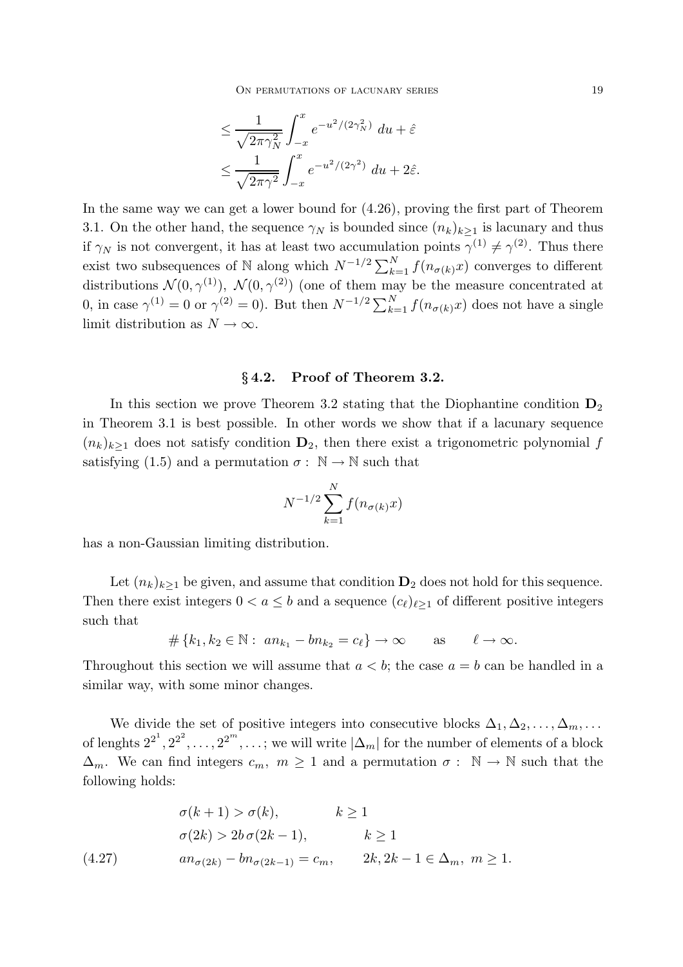$$
\leq \frac{1}{\sqrt{2\pi\gamma_N^2}} \int_{-x}^x e^{-u^2/(2\gamma_N^2)} du + \hat{\varepsilon}
$$
  

$$
\leq \frac{1}{\sqrt{2\pi\gamma^2}} \int_{-x}^x e^{-u^2/(2\gamma^2)} du + 2\hat{\varepsilon}.
$$

In the same way we can get a lower bound for (4.26), proving the first part of Theorem 3.1. On the other hand, the sequence  $\gamma_N$  is bounded since  $(n_k)_{k>1}$  is lacunary and thus if  $\gamma_N$  is not convergent, it has at least two accumulation points  $\gamma^{(1)} \neq \gamma^{(2)}$ . Thus there exist two subsequences of N along which  $N^{-1/2} \sum_{k=1}^{N} f(n_{\sigma(k)}x)$  converges to different distributions  $\mathcal{N}(0, \gamma^{(1)})$ ,  $\mathcal{N}(0, \gamma^{(2)})$  (one of them may be the measure concentrated at 0, in case  $\gamma^{(1)} = 0$  or  $\gamma^{(2)} = 0$ ). But then  $N^{-1/2} \sum_{k=1}^{N} f(n_{\sigma(k)}x)$  does not have a single limit distribution as  $N \to \infty$ .

## §4.2. Proof of Theorem 3.2.

In this section we prove Theorem 3.2 stating that the Diophantine condition  $D_2$ in Theorem 3.1 is best possible. In other words we show that if a lacunary sequence  $(n_k)_{k\geq 1}$  does not satisfy condition  $\mathbf{D}_2$ , then there exist a trigonometric polynomial f satisfying (1.5) and a permutation  $\sigma : \mathbb{N} \to \mathbb{N}$  such that

$$
N^{-1/2} \sum_{k=1}^{N} f(n_{\sigma(k)}x)
$$

has a non-Gaussian limiting distribution.

Let  $(n_k)_{k\geq 1}$  be given, and assume that condition  $\mathbf{D}_2$  does not hold for this sequence. Then there exist integers  $0 < a \leq b$  and a sequence  $(c_{\ell})_{\ell>1}$  of different positive integers such that

$$
\#\{k_1, k_2 \in \mathbb{N}: an_{k_1} - bn_{k_2} = c_\ell\} \to \infty \quad \text{as} \quad \ell \to \infty.
$$

Throughout this section we will assume that  $a < b$ ; the case  $a = b$  can be handled in a similar way, with some minor changes.

We divide the set of positive integers into consecutive blocks  $\Delta_1, \Delta_2, \ldots, \Delta_m, \ldots$ of lenghts  $2^{2^1}, 2^{2^2}, \ldots, 2^{2^m}, \ldots$ ; we will write  $|\Delta_m|$  for the number of elements of a block  $\Delta_m$ . We can find integers  $c_m$ ,  $m \geq 1$  and a permutation  $\sigma : \mathbb{N} \to \mathbb{N}$  such that the following holds:

$$
\sigma(k+1) > \sigma(k), \qquad k \ge 1
$$
  
\n
$$
\sigma(2k) > 2b \sigma(2k-1), \qquad k \ge 1
$$
  
\n
$$
an_{\sigma(2k)} - bn_{\sigma(2k-1)} = c_m, \qquad 2k, 2k - 1 \in \Delta_m, \ m \ge 1.
$$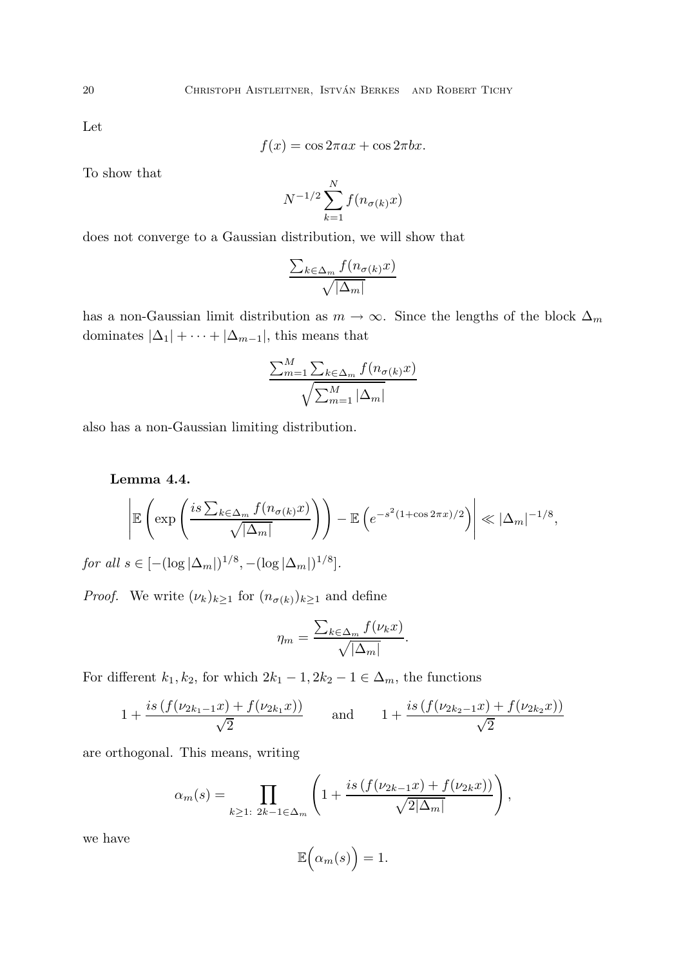Let

$$
f(x) = \cos 2\pi ax + \cos 2\pi bx.
$$

To show that

$$
N^{-1/2} \sum_{k=1}^{N} f(n_{\sigma(k)}x)
$$

does not converge to a Gaussian distribution, we will show that

$$
\frac{\sum_{k \in \Delta_m} f(n_{\sigma(k)}x)}{\sqrt{|\Delta_m|}}
$$

has a non-Gaussian limit distribution as  $m \to \infty$ . Since the lengths of the block  $\Delta_m$ dominates  $|\Delta_1| + \cdots + |\Delta_{m-1}|$ , this means that

$$
\frac{\sum_{m=1}^{M} \sum_{k \in \Delta_m} f(n_{\sigma(k)}x)}{\sqrt{\sum_{m=1}^{M} |\Delta_m|}}
$$

also has a non-Gaussian limiting distribution.

Lemma 4.4.

$$
\left| \mathbb{E}\left(\exp\left(\frac{is\sum_{k\in\Delta_m}f(n_{\sigma(k)}x)}{\sqrt{|\Delta_m|}}\right)\right) - \mathbb{E}\left(e^{-s^2(1+\cos 2\pi x)/2}\right) \right| \ll |\Delta_m|^{-1/8},
$$

*for all*  $s \in [-(\log|\Delta_m|)^{1/8}, -(\log|\Delta_m|)^{1/8}]$ *.* 

*Proof.* We write  $(\nu_k)_{k\geq 1}$  for  $(n_{\sigma(k)})_{k\geq 1}$  and define

$$
\eta_m = \frac{\sum_{k \in \Delta_m} f(\nu_k x)}{\sqrt{|\Delta_m|}}.
$$

For different  $k_1, k_2$ , for which  $2k_1 - 1$ ,  $2k_2 - 1 \in \Delta_m$ , the functions

$$
1 + \frac{is\left(f(\nu_{2k_1-1}x) + f(\nu_{2k_1}x)\right)}{\sqrt{2}} \quad \text{and} \quad 1 + \frac{is\left(f(\nu_{2k_2-1}x) + f(\nu_{2k_2}x)\right)}{\sqrt{2}}
$$

are orthogonal. This means, writing

$$
\alpha_m(s) = \prod_{k \ge 1: \ 2k - 1 \in \Delta_m} \left( 1 + \frac{is \left( f(\nu_{2k-1} x) + f(\nu_{2k} x) \right)}{\sqrt{2|\Delta_m|}} \right),
$$

we have

$$
\mathbb{E}\Big(\alpha_m(s)\Big)=1.
$$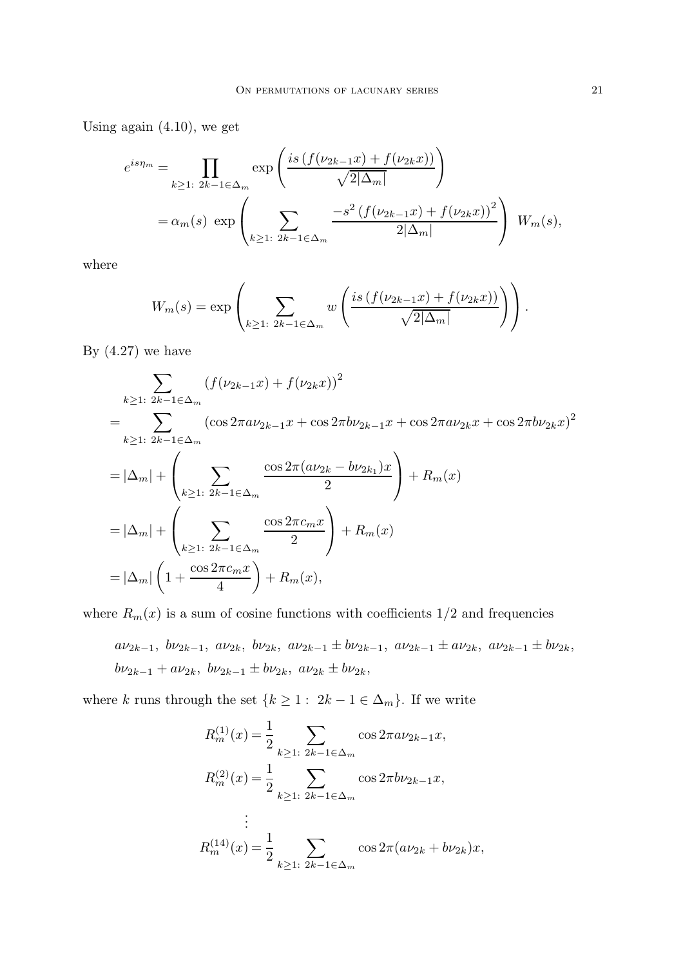Using again (4.10), we get

$$
e^{is\eta_m} = \prod_{k \ge 1: 2k - 1 \in \Delta_m} \exp\left(\frac{is \left(f(\nu_{2k-1}x) + f(\nu_{2k}x)\right)}{\sqrt{2|\Delta_m|}}\right)
$$
  
=  $\alpha_m(s) \exp\left(\sum_{k \ge 1: 2k - 1 \in \Delta_m} \frac{-s^2 \left(f(\nu_{2k-1}x) + f(\nu_{2k}x)\right)^2}{2|\Delta_m|}\right) W_m(s),$ 

where

$$
W_m(s) = \exp\left(\sum_{k\geq 1\colon 2k-1\in\Delta_m} w\left(\frac{is\left(f(\nu_{2k-1}x) + f(\nu_{2k}x)\right)}{\sqrt{2|\Delta_m|}}\right)\right).
$$

By  $(4.27)$  we have

$$
\sum_{k\geq 1: 2k-1\in\Delta_m} (f(\nu_{2k-1}x) + f(\nu_{2k}x))^2
$$
\n
$$
= \sum_{k\geq 1: 2k-1\in\Delta_m} (\cos 2\pi a \nu_{2k-1}x + \cos 2\pi b \nu_{2k-1}x + \cos 2\pi a \nu_{2k}x + \cos 2\pi b \nu_{2k}x)^2
$$
\n
$$
= |\Delta_m| + \left(\sum_{k\geq 1: 2k-1\in\Delta_m} \frac{\cos 2\pi (a\nu_{2k} - b\nu_{2k_1})x}{2}\right) + R_m(x)
$$
\n
$$
= |\Delta_m| + \left(\sum_{k\geq 1: 2k-1\in\Delta_m} \frac{\cos 2\pi c_m x}{2}\right) + R_m(x)
$$
\n
$$
= |\Delta_m| \left(1 + \frac{\cos 2\pi c_m x}{4}\right) + R_m(x),
$$

where  $R_m(x)$  is a sum of cosine functions with coefficients  $1/2$  and frequencies

$$
a\nu_{2k-1}, b\nu_{2k-1}, a\nu_{2k}, b\nu_{2k}, a\nu_{2k-1} \pm b\nu_{2k-1}, a\nu_{2k-1} \pm a\nu_{2k}, a\nu_{2k-1} \pm b\nu_{2k},
$$
  
 $b\nu_{2k-1} + a\nu_{2k}, b\nu_{2k-1} \pm b\nu_{2k}, a\nu_{2k} \pm b\nu_{2k},$ 

where k runs through the set  $\{k \geq 1: 2k - 1 \in \Delta_m\}$ . If we write

$$
R_m^{(1)}(x) = \frac{1}{2} \sum_{k \ge 1: 2k - 1 \in \Delta_m} \cos 2\pi a \nu_{2k-1} x,
$$
  
\n
$$
R_m^{(2)}(x) = \frac{1}{2} \sum_{k \ge 1: 2k - 1 \in \Delta_m} \cos 2\pi b \nu_{2k-1} x,
$$
  
\n
$$
\vdots
$$
  
\n
$$
R_m^{(14)}(x) = \frac{1}{2} \sum_{k \ge 1: 2k - 1 \in \Delta_m} \cos 2\pi (a \nu_{2k} + b \nu_{2k}) x,
$$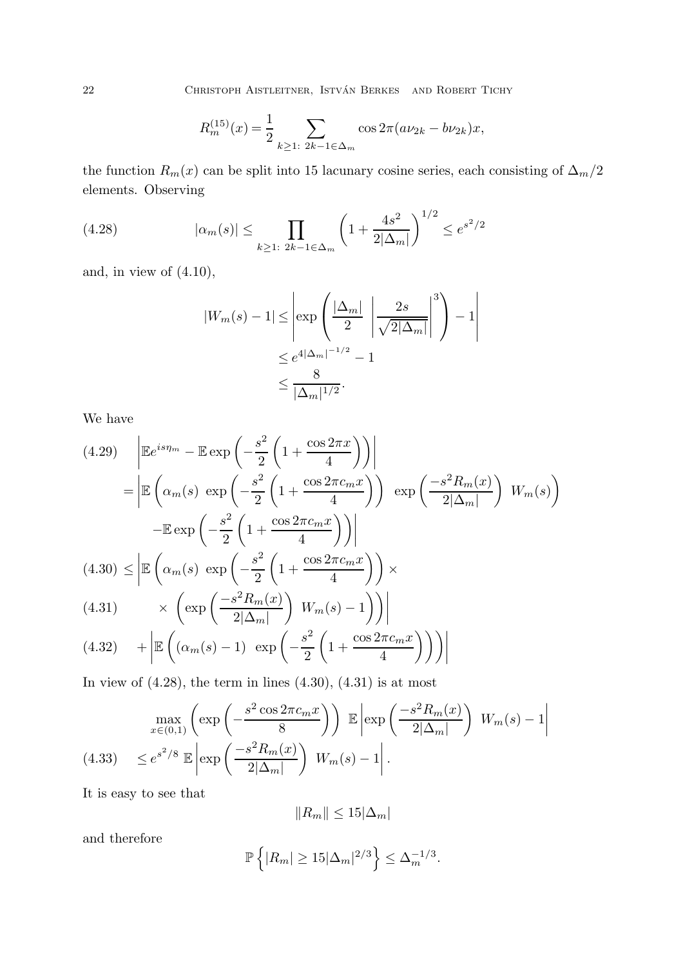22 CHRISTOPH AISTLEITNER, ISTVÁN BERKES AND ROBERT TICHY

$$
R_m^{(15)}(x) = \frac{1}{2} \sum_{k \ge 1: 2k - 1 \in \Delta_m} \cos 2\pi (a\nu_{2k} - b\nu_{2k})x,
$$

the function  $R_m(x)$  can be split into 15 lacunary cosine series, each consisting of  $\Delta_m/2$ elements. Observing

(4.28) 
$$
|\alpha_m(s)| \leq \prod_{k \geq 1: 2k-1 \in \Delta_m} \left(1 + \frac{4s^2}{2|\Delta_m|}\right)^{1/2} \leq e^{s^2/2}
$$

and, in view of  $(4.10)$ ,

$$
|W_m(s) - 1| \le \left| \exp\left(\frac{|\Delta_m|}{2} \left| \frac{2s}{\sqrt{2|\Delta_m|}} \right|^3 \right) - 1 \right|
$$
  

$$
\le e^{4|\Delta_m|^{-1/2}} - 1
$$
  

$$
\le \frac{8}{|\Delta_m|^{1/2}}.
$$

We have

$$
(4.29) \quad \left| \mathbb{E}e^{is\eta_m} - \mathbb{E} \exp\left(-\frac{s^2}{2}\left(1 + \frac{\cos 2\pi x}{4}\right)\right) \right|
$$
\n
$$
= \left| \mathbb{E}\left(\alpha_m(s) \exp\left(-\frac{s^2}{2}\left(1 + \frac{\cos 2\pi c_m x}{4}\right)\right) \exp\left(\frac{-s^2 R_m(x)}{2|\Delta_m|}\right) W_m(s)\right) \right|
$$
\n
$$
- \mathbb{E} \exp\left(-\frac{s^2}{2}\left(1 + \frac{\cos 2\pi c_m x}{4}\right)\right) \right|
$$
\n
$$
(4.30) \le \left| \mathbb{E}\left(\alpha_m(s) \exp\left(-\frac{s^2}{2}\left(1 + \frac{\cos 2\pi c_m x}{4}\right)\right) \times \right|
$$
\n
$$
(4.31) \quad \times \left(\exp\left(\frac{-s^2 R_m(x)}{2|\Delta_m|}\right) W_m(s) - 1\right) \right) \right|
$$
\n
$$
(4.32) \quad + \left| \mathbb{E}\left((\alpha_m(s) - 1) \exp\left(-\frac{s^2}{2}\left(1 + \frac{\cos 2\pi c_m x}{4}\right)\right)\right) \right|
$$

In view of  $(4.28)$ , the term in lines  $(4.30)$ ,  $(4.31)$  is at most

$$
\max_{x \in (0,1)} \left( \exp\left( -\frac{s^2 \cos 2\pi c_m x}{8} \right) \right) \mathbb{E} \left[ \exp\left( \frac{-s^2 R_m(x)}{2|\Delta_m|} \right) W_m(s) - 1 \right]
$$
\n
$$
(4.33) \le e^{s^2/8} \mathbb{E} \left[ \exp\left( \frac{-s^2 R_m(x)}{2|\Delta_m|} \right) W_m(s) - 1 \right].
$$

It is easy to see that

$$
||R_m|| \le 15|\Delta_m|
$$

and therefore

$$
\mathbb{P}\left\{|R_m|\geq 15|\Delta_m|^{2/3}\right\}\leq \Delta_m^{-1/3}.
$$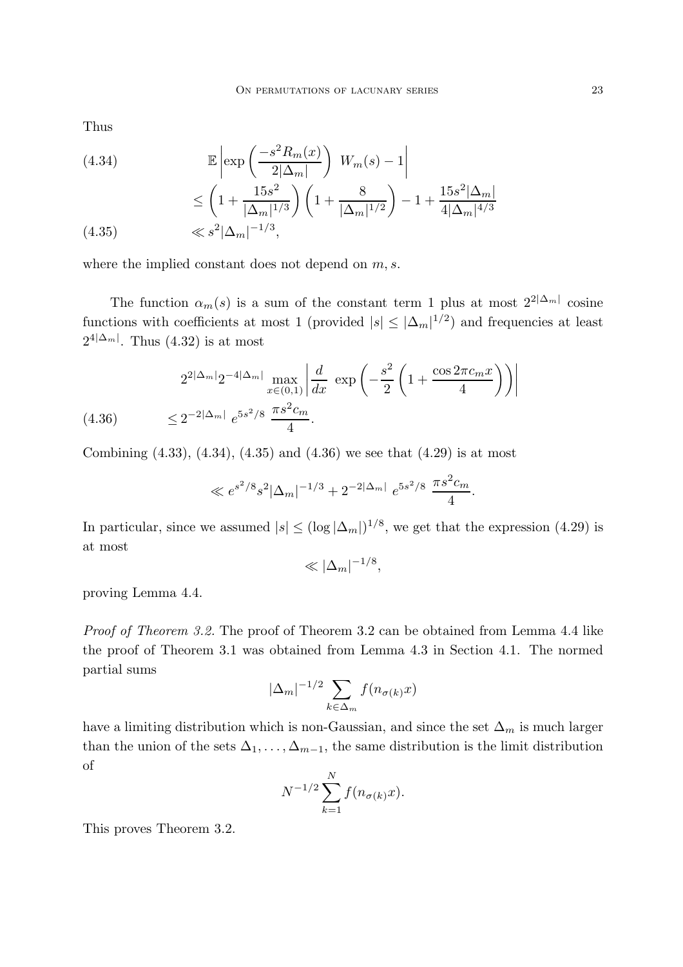Thus

(4.34)  
\n
$$
\mathbb{E}\left[\exp\left(\frac{-s^2 R_m(x)}{2|\Delta_m|}\right) W_m(s) - 1\right]
$$
\n
$$
\leq \left(1 + \frac{15s^2}{|\Delta_m|^{1/3}}\right) \left(1 + \frac{8}{|\Delta_m|^{1/2}}\right) - 1 + \frac{15s^2 |\Delta_m|}{4|\Delta_m|^{4/3}}
$$
\n(4.35)  
\n
$$
\ll s^2 |\Delta_m|^{-1/3},
$$

$$
(4.35) \qquad \qquad \ll s^2 |\Delta_m|^{-1/3},
$$

where the implied constant does not depend on  $m, s$ .

The function  $\alpha_m(s)$  is a sum of the constant term 1 plus at most  $2^{2|\Delta_m|}$  cosine functions with coefficients at most 1 (provided  $|s| \leq |\Delta_m|^{1/2}$ ) and frequencies at least  $2^{4|\Delta_m|}$ . Thus  $(4.32)$  is at most

$$
2^{2|\Delta_m|} 2^{-4|\Delta_m|} \max_{x \in (0,1)} \left| \frac{d}{dx} \exp\left( -\frac{s^2}{2} \left( 1 + \frac{\cos 2\pi c_m x}{4} \right) \right) \right|
$$
  
(4.36) 
$$
\leq 2^{-2|\Delta_m|} e^{5s^2/8} \frac{\pi s^2 c_m}{4}.
$$

Combining  $(4.33)$ ,  $(4.34)$ ,  $(4.35)$  and  $(4.36)$  we see that  $(4.29)$  is at most

$$
\ll e^{s^2/8} s^2 |\Delta_m|^{-1/3} + 2^{-2|\Delta_m|} e^{5s^2/8} \frac{\pi s^2 c_m}{4}.
$$

In particular, since we assumed  $|s| \leq (\log |\Delta_m|)^{1/8}$ , we get that the expression (4.29) is at most

$$
\ll |\Delta_m|^{-1/8},
$$

proving Lemma 4.4.

*Proof of Theorem 3.2.* The proof of Theorem 3.2 can be obtained from Lemma 4.4 like the proof of Theorem 3.1 was obtained from Lemma 4.3 in Section 4.1. The normed partial sums

$$
|\Delta_m|^{-1/2} \sum_{k \in \Delta_m} f(n_{\sigma(k)}x)
$$

have a limiting distribution which is non-Gaussian, and since the set  $\Delta_m$  is much larger than the union of the sets  $\Delta_1, \ldots, \Delta_{m-1}$ , the same distribution is the limit distribution of

$$
N^{-1/2} \sum_{k=1}^{N} f(n_{\sigma(k)}x).
$$

This proves Theorem 3.2.